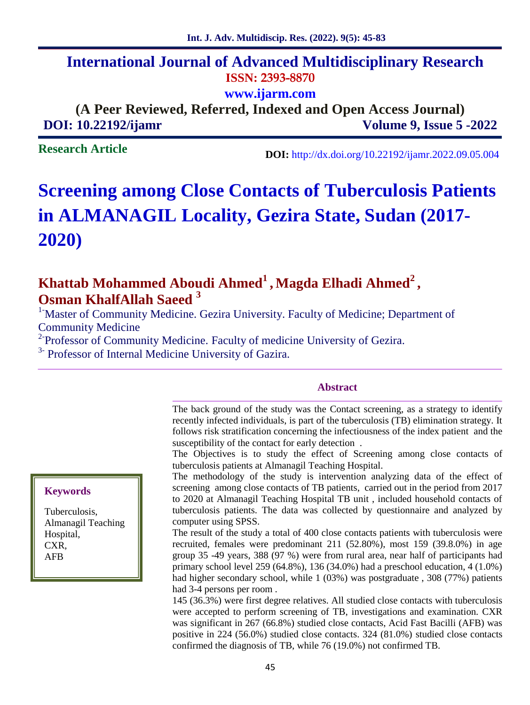## **International Journal of Advanced Multidisciplinary Research ISSN: 2393-8870**

**www.ijarm.com**

**(A Peer Reviewed, Referred, Indexed and Open Access Journal) DOI: 10.22192/ijamr Volume 9, Issue 5 -2022**

**Research Article**

**DOI:** http://dx.doi.org/10.22192/ijamr.2022.09.05.004

# **Screening among Close Contacts of Tuberculosis Patients in ALMANAGIL Locality, Gezira State, Sudan (2017- 2020)**

## **Khattab Mohammed Aboudi Ahmed<sup>1</sup> , Magda Elhadi Ahmed<sup>2</sup> , Osman KhalfAllah Saeed <sup>3</sup>**

<sup>1</sup> Master of Community Medicine. Gezira University. Faculty of Medicine; Department of Community Medicine

<sup>2</sup> Professor of Community Medicine. Faculty of medicine University of Gezira.

<sup>3-</sup> Professor of Internal Medicine University of Gazira.

#### **Abstract**

The back ground of the study was the Contact screening, as a strategy to identify recently infected individuals, is part of the tuberculosis (TB) elimination strategy. It follows risk stratification concerning the infectiousness of the index patient and the susceptibility of the contact for early detection .

The Objectives is to study the effect of Screening among close contacts of tuberculosis patients at Almanagil Teaching Hospital.

The methodology of the study is intervention analyzing data of the effect of screening among close contacts of TB patients, carried out in the period from 2017 to 2020 at Almanagil Teaching Hospital TB unit , included household contacts of tuberculosis patients. The data was collected by questionnaire and analyzed by computer using SPSS.

The result of the study a total of 400 close contacts patients with tuberculosis were recruited, females were predominant 211 (52.80%), most 159 (39.8.0%) in age group 35 -49 years, 388 (97 %) were from rural area, near half of participants had primary school level 259 (64.8%), 136 (34.0%) had a preschool education, 4 (1.0%) had higher secondary school, while 1 (03%) was postgraduate , 308 (77%) patients had 3-4 persons per room .

145 (36.3%) were first degree relatives. All studied close contacts with tuberculosis were accepted to perform screening of TB, investigations and examination. CXR was significant in 267 (66.8%) studied close contacts, Acid Fast Bacilli (AFB) was positive in 224 (56.0%) studied close contacts. 324 (81.0%) studied close contacts confirmed the diagnosis of TB, while 76 (19.0%) not confirmed TB.

#### **Keywords**

Tuberculosis, Almanagil Teaching Hospital, CXR, AFB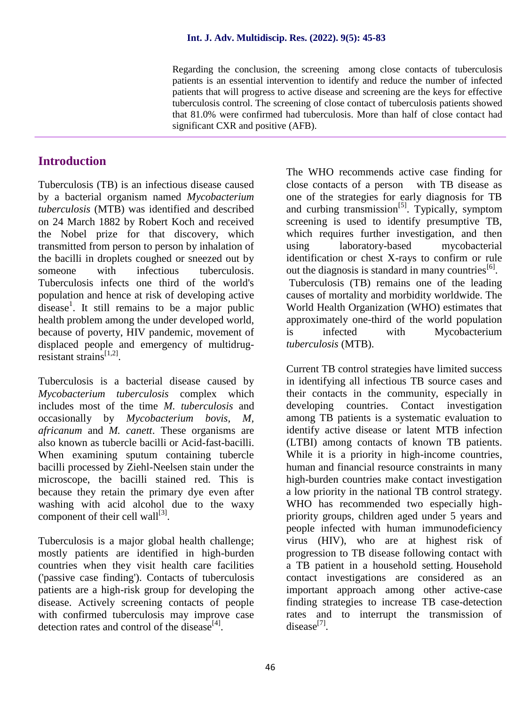Regarding the conclusion, the screening among close contacts of tuberculosis patients is an essential intervention to identify and reduce the number of infected patients that will progress to active disease and screening are the keys for effective tuberculosis control. The screening of close contact of tuberculosis patients showed that 81.0% were confirmed had tuberculosis. More than half of close contact had significant CXR and positive (AFB).

## **Introduction**

Tuberculosis (TB) is an infectious disease caused by a bacterial organism named *Mycobacterium tuberculosis* (MTB) was identified and described on 24 March 1882 by Robert Koch and received the Nobel prize for that discovery, which transmitted from person to person by inhalation of the bacilli in droplets coughed or sneezed out by someone with infectious tuberculosis. Tuberculosis infects one third of the world's population and hence at risk of developing active disease<sup>1</sup>. It still remains to be a major public health problem among the under developed world, because of poverty, HIV pandemic, movement of displaced people and emergency of multidrugresistant strains[1,2].

Tuberculosis is a bacterial disease caused by *Mycobacterium tuberculosis* complex which includes most of the time *M. tuberculosis* and occasionally by *Mycobacterium bovis, M, africanum* and *M. canett*. These organisms are also known as tubercle bacilli or Acid-fast-bacilli. When examining sputum containing tubercle bacilli processed by Ziehl-Neelsen stain under the microscope, the bacilli stained red. This is because they retain the primary dye even after washing with acid alcohol due to the waxy component of their cell wall $^{[3]}$ .

Tuberculosis is a major global health challenge; mostly patients are identified in high-burden countries when they visit health care facilities ('passive case finding'). Contacts of tuberculosis patients are a high-risk group for developing the disease. Actively screening contacts of people with confirmed tuberculosis may improve case detection rates and control of the disease $[4]$ .

The WHO recommends active case finding for close contacts of a person with TB disease as one of the strategies for early diagnosis for TB and curbing transmission<sup>[5]</sup>. Typically, symptom screening is used to identify presumptive TB, which requires further investigation, and then using laboratory-based mycobacterial identification or chest X-rays to confirm or rule out the diagnosis is standard in many countries<sup>[6]</sup>. Tuberculosis (TB) remains one of the leading causes of mortality and morbidity worldwide. The World Health Organization (WHO) estimates that approximately one-third of the world population is infected with Mycobacterium *tuberculosis* (MTB).

Current TB control strategies have limited success in identifying all infectious TB source cases and their contacts in the community, especially in developing countries. Contact investigation among TB patients is a systematic evaluation to identify active disease or latent MTB infection (LTBI) among contacts of known TB patients. While it is a priority in high-income countries, human and financial resource constraints in many high-burden countries make contact investigation a low priority in the national TB control strategy. WHO has recommended two especially high priority groups, children aged under 5 years and people infected with human immunodeficiency virus (HIV), who are at highest risk of progression to TB disease following contact with a TB patient in a household setting. Household contact investigations are considered as an important approach among other active-case finding strategies to increase TB case-detection rates and to interrupt the transmission of  $disease^{[7]}$ .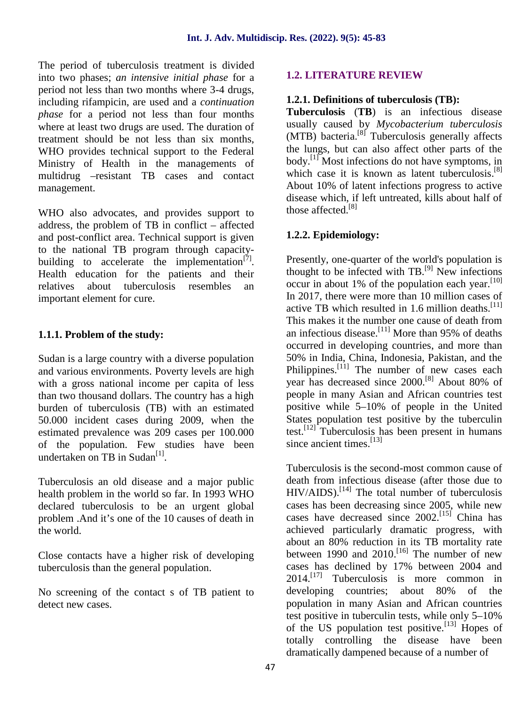The period of tuberculosis treatment is divided into two phases; *an intensive initial phase* for a period not less than two months where 3-4 drugs, including rifampicin, are used and a *continuation phase* for a period not less than four months where at least two drugs are used. The duration of treatment should be not less than six months, WHO provides technical support to the Federal Ministry of Health in the managements of multidrug –resistant TB cases and contact management.

WHO also advocates, and provides support to address, the problem of TB in conflict – affected and post-conflict area. Technical support is given to the national TB program through capacity building to accelerate the implementation $<sup>[7]</sup>$ .</sup> Health education for the patients and their relatives about tuberculosis resembles an important element for cure.

#### **1.1.1. Problem of the study:**

Sudan is a large country with a diverse population and various environments. Poverty levels are high with a gross national income per capita of less than two thousand dollars. The country has a high burden of tuberculosis (TB) with an estimated 50.000 incident cases during 2009, when the estimated prevalence was 209 cases per 100.000 of the population. Few studies have been undertaken on TB in Sudan<sup>[1]</sup>.

Tuberculosis an old disease and a major public health problem in the world so far. In 1993 WHO declared tuberculosis to be an urgent global problem .And it's one of the 10 causes of death in the world.

Close contacts have a higher risk of developing tuberculosis than the general population.

No screening of the contact s of TB patient to detect new cases.

## **1.2. LITERATURE REVIEW**

## **1.2.1. Definitions of tuberculosis (TB):**

**Tuberculosis** (**TB**) is an infectious disease usually caused by *Mycobacterium tuberculosis* (MTB) bacteria.<sup>[8]</sup> Tuberculosis generally affects the lungs, but can also affect other parts of the body.<sup>[1]</sup> Most infections do not have symptoms, in which case it is known as latent tuberculosis.<sup>[8]</sup> About 10% of latent infections progress to active disease which, if left untreated, kills about half of those affected. $[8]$ 

## **1.2.2. Epidemiology:**

Presently, one-quarter of the world's population is thought to be infected with  $TB.$ <sup>[9]</sup> New infections occur in about 1% of the population each year.  $[10]$ In 2017, there were more than 10 million cases of active TB which resulted in 1.6 million deaths.<sup>[11]</sup> This makes it the number one cause of death from an infectious disease.<sup>[11]</sup> More than 95% of deaths occurred in developing countries, and more than 50% in India, China, Indonesia, Pakistan, and the Philippines.<sup>[11]</sup> The number of new cases each year has decreased since 2000.[8] About 80% of people in many Asian and African countries test positive while 5–10% of people in the United States population test positive by the tuberculin test.<sup>[12]</sup> Tuberculosis has been present in humans since ancient times. [13]

Tuberculosis is the second-most common cause of death from infectious disease (after those due to  $HIV/AIDS$ ).<sup>[14]</sup> The total number of tuberculosis cases has been decreasing since 2005, while new cases have decreased since  $2002$ .<sup>[15]</sup> China has achieved particularly dramatic progress, with about an 80% reduction in its TB mortality rate between 1990 and 2010.<sup>[16]</sup> The number of new cases has declined by 17% between 2004 and  $2014$ <sup>[17]</sup> Tuberculosis is more common in developing countries; about 80% of the population in many Asian and African countries test positive in tuberculin tests, while only 5–10% of the US population test positive.<sup>[13]</sup> Hopes of totally controlling the disease have been dramatically dampened because of a number of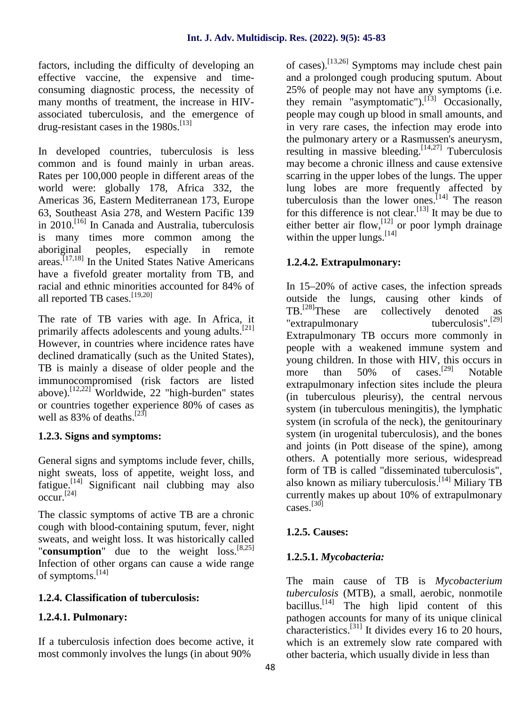factors, including the difficulty of developing an effective vaccine, the expensive and time consuming diagnostic process, the necessity of many months of treatment, the increase in HIV associated tuberculosis, and the emergence of drug-resistant cases in the  $1980s$ .<sup>[13]</sup>

In developed countries, tuberculosis is less common and is found mainly in urban areas. Rates per 100,000 people in different areas of the world were: globally 178, Africa 332, the Americas 36, Eastern Mediterranean 173, Europe 63, Southeast Asia 278, and Western Pacific 139 in  $2010$ .<sup>[16]</sup> In Canada and Australia, tuberculosis is many times more common among the aboriginal peoples, especially in remote aboriginal peoples, especially in remote areas. [17,18] In the United States Native Americans have a fivefold greater mortality from TB, and racial and ethnic minorities accounted for 84% of all reported TB cases.<sup>[19,20]</sup>

The rate of TB varies with age. In Africa, it primarily affects adolescents and young adults.<sup>[21]</sup> However, in countries where incidence rates have declined dramatically (such as the United States), TB is mainly a disease of older people and the more immunocompromised (risk factors are listed above).<sup>[12,22]</sup> Worldwide, 22 "high-burden" states or countries together experience 80% of cases as well as  $83\%$  of deaths.<sup>[23]</sup>

## **1.2.3. Signs and symptoms:**

General signs and symptoms include fever, chills, night sweats, loss of appetite, weight loss, and fatigue.<sup>[14]</sup> Significant nail clubbing may also al  $\mathrm{occur.}^{[24]}$ 

The classic symptoms of active TB are a chronic cough with blood-containing sputum, fever, night sweats, and weight loss. It was historically called "**consumption**" due to the weight loss.[8,25] Infection of other organs can cause a wide range of symptoms.[14]

## **1.2.4. Classification of tuberculosis:**

## **1.2.4.1. Pulmonary:**

If a tuberculosis infection does become active, it most commonly involves the lungs (in about 90%

of cases).[13,26] Symptoms may include chest pain and a prolonged cough producing sputum. About 25% of people may not have any symptoms (i.e. they remain "asymptomatic").<sup>[13]</sup> Occasionally, people may cough up blood in small amounts, and in very rare cases, the infection may erode into the pulmonary artery or a Rasmussen's aneurysm, resulting in massive bleeding.  $[14,27]$  Tuberculosis may become a chronic illness and cause extensive scarring in the upper lobes of the lungs. The upper lung lobes are more frequently affected by tuberculosis than the lower ones.<sup>[14]</sup> The reason for this difference is not clear.<sup>[13]</sup> It may be due to either better air flow, <sup>[12]</sup> or poor lymph drainage within the upper lungs.  $[14]$ 

## **1.2.4.2. Extrapulmonary:**

In 15–20% of active cases, the infection spreads outside the lungs, causing other kinds of TB.<sup>[28]</sup>These are collectively denoted as<br>"extrapulmonary tuberculosis".<sup>[29]</sup> "extrapulmonary Extrapulmonary TB occurs more commonly in people with a weakened immune system and young children. In those with HIV, this occurs in than  $50\%$  of cases.<sup>[29]</sup> Notable extrapulmonary infection sites include the pleura (in tuberculous pleurisy), the central nervous system (in tuberculous meningitis), the lymphatic system (in scrofula of the neck), the genitourinary system (in urogenital tuberculosis), and the bones and joints (in Pott disease of the spine), among others. A potentially more serious, widespread form of TB is called "disseminated tuberculosis", also known as miliary tuberculosis. [14] Miliary TB currently makes up about 10% of extrapulmonary cases.[30]

## **1.2.5. Causes:**

## **1.2.5.1.** *Mycobacteria:*

The main cause of TB is *Mycobacterium tuberculosis* (MTB), a small, aerobic, nonmotile bacillus.<sup>[14]</sup> The high lipid content of this pathogen accounts for many of its unique clinical characteristics.[31] It divides every 16 to 20 hours, which is an extremely slow rate compared with other bacteria, which usually divide in less than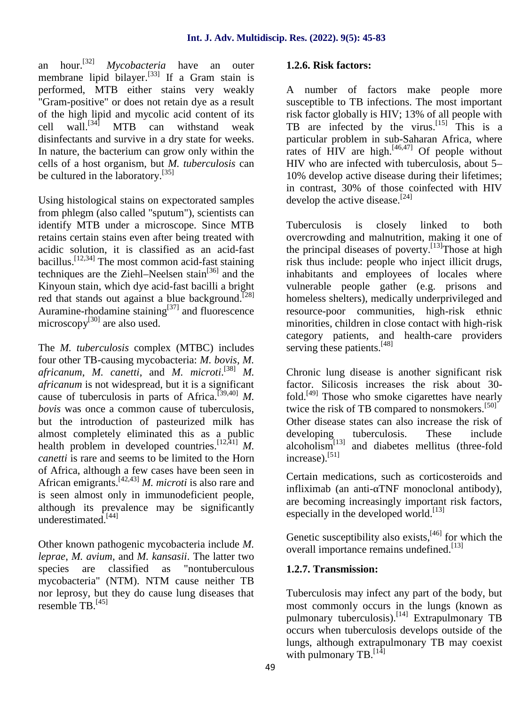an hour.[32] *Mycobacteria* have an outer membrane lipid bilayer.[33] If a Gram stain is performed, MTB either stains very weakly "Gram-positive" or does not retain dye as a result of the high lipid and mycolic acid content of its cell wall.<sup>[34]</sup> MTB can withstand weak disinfectants and survive in a dry state for weeks. In nature, the bacterium can grow only within the cells of a host organism, but *M. tuberculosis* can be cultured in the laboratory. [35]

Using histological stains on expectorated samples from phlegm (also called "sputum"), scientists can identify MTB under a microscope. Since MTB retains certain stains even after being treated with acidic solution, it is classified as an acid-fast bacillus.<sup>[12,34]</sup> The most common acid-fast staining ri techniques are the Ziehl–Neelsen stain<sup>[36]</sup> and the Kinyoun stain, which dye acid-fast bacilli a bright red that stands out against a blue background.<sup>[28]</sup> Auramine-rhodamine staining<sup>[37]</sup> and fluorescence microscopy $^{[30]}$  are also used.

The *M. tuberculosis* complex (MTBC) includes four other TB-causing mycobacteria: *M. bovis*, *M. africanum*, *M. canetti*, and *M. microti*. [38] *M. africanum* is not widespread, but it is a significant cause of tuberculosis in parts of Africa.<sup>[39,40]</sup> *M*. *bovis* was once a common cause of tuberculosis, but the introduction of pasteurized milk has almost completely eliminated this as a public health problem in developed countries.<sup>[12,41]</sup>  $M$ . *canetti* is rare and seems to be limited to the Horn of Africa, although a few cases have been seen in African emigrants.[42,43] *M. microti* is also rare and is seen almost only in immunodeficient people, although its prevalence may be significantly underestimated.[44]

Other known pathogenic mycobacteria include *M. leprae*, *M. avium*, and *M. kansasii*. The latter two species are classified as "nontuberculous mycobacteria" (NTM). NTM cause neither TB nor leprosy, but they do cause lung diseases that resemble TB.[45]

## **1.2.6. Risk factors:**

A number of factors make people more susceptible to TB infections. The most important risk factor globally is HIV; 13% of all people with TB are infected by the virus.<sup>[15]</sup> This is a particular problem in sub-Saharan Africa, where rates of  $\dot{H}$ IV are high.<sup>[46,47]</sup> Of people without HIV who are infected with tuberculosis, about 5– 10% develop active disease during their lifetimes; in contrast, 30% of those coinfected with HIV develop the active disease.<sup>[24]</sup>

Tuberculosis is closely linked to both overcrowding and malnutrition, making it one of the principal diseases of poverty.<sup>[13]</sup>Those at high risk thus include: people who inject illicit drugs, inhabitants and employees of locales where vulnerable people gather (e.g. prisons and homeless shelters), medically underprivileged and resource-poor communities, high-risk ethnic minorities, children in close contact with high-risk category patients, and health-care providers serving these patients.<sup>[48]</sup>

Chronic lung disease is another significant risk factor. Silicosis increases the risk about 30 fold.<sup>[49]</sup> Those who smoke cigarettes have nearly twice the risk of TB compared to nonsmokers.<sup>[50]</sup> Other disease states can also increase the risk of tuberculosis. These include alcoholism[13] and diabetes mellitus (three-fold increase).[51]

Certain medications, such as corticosteroids and infliximab (an anti-TNF monoclonal antibody), are becoming increasingly important risk factors, especially in the developed world.<sup>[13]</sup>

Genetic susceptibility also exists,<sup>[46]</sup> for which the overall importance remains undefined.<sup>[13]</sup>

## **1.2.7. Transmission:**

Tuberculosis may infect any part of the body, but most commonly occurs in the lungs (known as pulmonary tuberculosis).<sup>[14]</sup> Extrapulmonary TB occurs when tuberculosis develops outside of the lungs, although extrapulmonary TB may coexist with pulmonary TB.  $^{[14]}$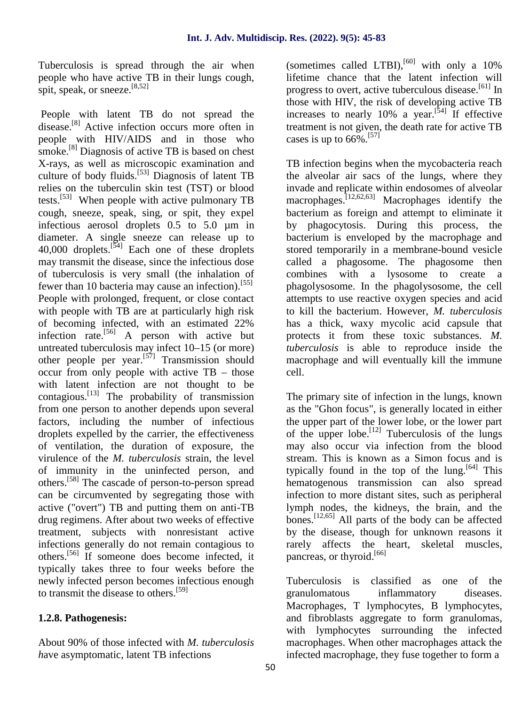Tuberculosis is spread through the air when people who have active TB in their lungs cough, spit, speak, or sneeze.<sup>[8,52]</sup>

People with latent TB do not spread the disease.[8] Active infection occurs more often in people with HIV/AIDS and in those who smoke.<sup>[8]</sup> Diagnosis of active TB is based on chest X-rays, as well as microscopic examination and culture of body fluids.[53] Diagnosis of latent TB relies on the tuberculin skin test (TST) or blood tests.<sup>[53]</sup> When people with active pulmonary TB cough, sneeze, speak, sing, or spit, they expel infectious aerosol droplets 0.5 to 5.0 µm in diameter. A single sneeze can release up to 40,000 droplets. $[54]$  Each one of these droplets may transmit the disease, since the infectious dose of tuberculosis is very small (the inhalation of fewer than 10 bacteria may cause an infection).<sup>[55]</sup> People with prolonged, frequent, or close contact with people with TB are at particularly high risk of becoming infected, with an estimated 22% infection rate.<sup>[56]</sup> A person with active but untreated tuberculosis may infect 10–15 (or more) other people per year.[57] Transmission should occur from only people with active TB – those with latent infection are not thought to be contagious.[13] The probability of transmission from one person to another depends upon several factors, including the number of infectious droplets expelled by the carrier, the effectiveness of ventilation, the duration of exposure, the virulence of the *M. tuberculosis* strain, the level of immunity in the uninfected person, and others.[58] The cascade of person-to-person spread can be circumvented by segregating those with active ("overt") TB and putting them on anti-TB drug regimens. After about two weeks of effective treatment, subjects with nonresistant active infections generally do not remain contagious to others.[56] If someone does become infected, it typically takes three to four weeks before the newly infected person becomes infectious enough Tuberculosis is to transmit the disease to others.[59]

## **1.2.8. Pathogenesis:**

About 90% of those infected with *M. tuberculosis h*ave asymptomatic, latent TB infections

(sometimes called LTBI), $[60]$  with only a 10% lifetime chance that the latent infection will progress to overt, active tuberculous disease.[61] In those with HIV, the risk of developing active TB increases to nearly 10% a year.<sup>[54]</sup> If effective treatment is not given, the death rate for active TB cases is up to  $66\%$ <sup>[57]</sup>

TB infection begins when the mycobacteria reach the alveolar air sacs of the lungs, where they invade and replicate within endosomes of alveolar macrophages.<sup>[12,62,63]</sup> Macrophages identify the bacterium as foreign and attempt to eliminate it by phagocytosis. During this process, the bacterium is enveloped by the macrophage and stored temporarily in a membrane-bound vesicle called a phagosome. The phagosome then combines with a lysosome to create a phagolysosome. In the phagolysosome, the cell attempts to use reactive oxygen species and acid to kill the bacterium. However, *M. tuberculosis* has a thick, waxy mycolic acid capsule that protects it from these toxic substances. *M. tuberculosis* is able to reproduce inside the macrophage and will eventually kill the immune cell.

The primary site of infection in the lungs, known as the "Ghon focus", is generally located in either the upper part of the lower lobe, or the lower part of the upper lobe. [12] Tuberculosis of the lungs may also occur via infection from the blood stream. This is known as a Simon focus and is typically found in the top of the lung.<sup>[64]</sup> This hematogenous transmission can also spread infection to more distant sites, such as peripheral lymph nodes, the kidneys, the brain, and the bones.[12,65] All parts of the body can be affected by the disease, though for unknown reasons it rarely affects the heart, skeletal muscles, pancreas, or thyroid.<sup>[66]</sup>

classified as one of the granulomatous inflammatory diseases. Macrophages, T lymphocytes, B lymphocytes, and fibroblasts aggregate to form granulomas, with lymphocytes surrounding the infected macrophages. When other macrophages attack the infected macrophage, they fuse together to form a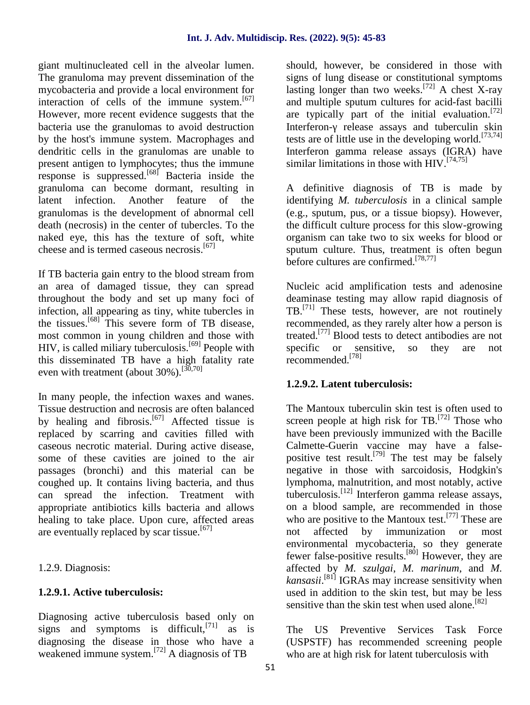giant multinucleated cell in the alveolar lumen. The granuloma may prevent dissemination of the mycobacteria and provide a local environment for interaction of cells of the immune system. $[67]$ However, more recent evidence suggests that the bacteria use the granulomas to avoid destruction by the host's immune system. Macrophages and dendritic cells in the granulomas are unable to present antigen to lymphocytes; thus the immune response is suppressed.[68] Bacteria inside the granuloma can become dormant, resulting in latent infection. Another feature of the granulomas is the development of abnormal cell death (necrosis) in the center of tubercles. To the naked eye, this has the texture of soft, white cheese and is termed caseous necrosis.<sup>[67]</sup>

If TB bacteria gain entry to the blood stream from an area of damaged tissue, they can spread throughout the body and set up many foci of infection, all appearing as tiny, white tubercles in the tissues.[68] This severe form of TB disease, most common in young children and those with HIV, is called miliary tuberculosis.<sup>[69]</sup> People with this disseminated TB have a high fatality rate even with treatment (about  $30\%$ ).<sup>[30,70]</sup>

In many people, the infection waxes and wanes. Tissue destruction and necrosis are often balanced by healing and fibrosis.<sup>[67]</sup> Affected tissue is replaced by scarring and cavities filled with caseous necrotic material. During active disease, some of these cavities are joined to the air passages (bronchi) and this material can be coughed up. It contains living bacteria, and thus can spread the infection. Treatment with appropriate antibiotics kills bacteria and allows healing to take place. Upon cure, affected areas are eventually replaced by scar tissue.<sup>[67]</sup>

1.2.9. Diagnosis:

## **1.2.9.1. Active tuberculosis:**

Diagnosing active tuberculosis based only on signs and symptoms is difficult, $^{[71]}$  as is diagnosing the disease in those who have a weakened immune system.<sup>[72]</sup> A diagnosis of TB

should, however, be considered in those with signs of lung disease or constitutional symptoms lasting longer than two weeks.<sup>[72]</sup> A chest X-ray and multiple sputum cultures for acid-fast bacilli are typically part of the initial evaluation.<sup>[72]</sup> Interferon- release assays and tuberculin skin tests are of little use in the developing world.<sup>[73,74]</sup> Interferon gamma release assays (IGRA) have similar limitations in those with  $HIV.$ <sup>[74,75]</sup>

A definitive diagnosis of TB is made by identifying *M. tuberculosis* in a clinical sample (e.g., sputum, pus, or a tissue biopsy). However, the difficult culture process for this slow-growing organism can take two to six weeks for blood or sputum culture. Thus, treatment is often begun before cultures are confirmed.<sup>[78,77]</sup>

Nucleic acid amplification tests and adenosine deaminase testing may allow rapid diagnosis of TB.[71] These tests, however, are not routinely recommended, as they rarely alter how a person is treated.<sup>[77]</sup> Blood tests to detect antibodies are not specific or sensitive, so they are not recommended<sup>[78]</sup>

## **1.2.9.2. Latent tuberculosis:**

The Mantoux tuberculin skin test is often used to screen people at high risk for  $TB$ . <sup>[72]</sup> Those who have been previously immunized with the Bacille Calmette-Guerin vaccine may have a false positive test result.<sup>[79]</sup> The test may be falsely negative in those with sarcoidosis, Hodgkin's lymphoma, malnutrition, and most notably, active tuberculosis.[12] Interferon gamma release assays, on a blood sample, are recommended in those who are positive to the Mantoux test.<sup>[77]</sup> These are not affected by immunization or most environmental mycobacteria, so they generate fewer false-positive results.<sup>[80]</sup> However, they are affected by *M. szulgai*, *M. marinum*, and *M. kansasii*. [81] IGRAs may increase sensitivity when used in addition to the skin test, but may be less sensitive than the skin test when used alone.<sup>[82]</sup>

The US Preventive Services Task Force (USPSTF) has recommended screening people who are at high risk for latent tuberculosis with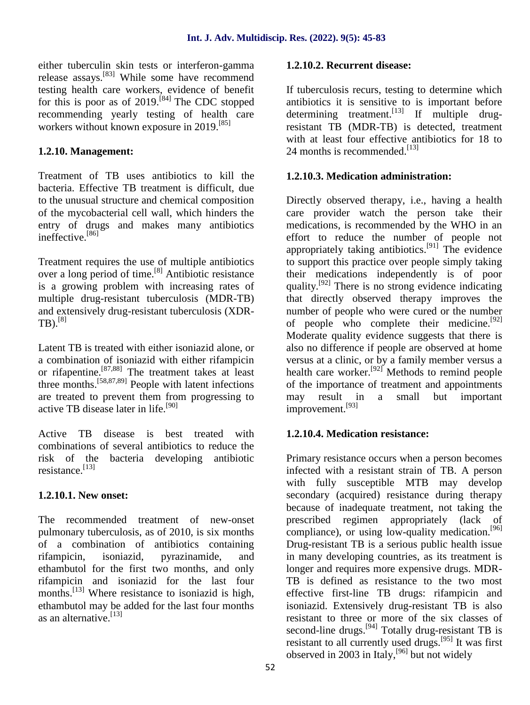either tuberculin skin tests or interferon-gamma release assays.[83] While some have recommend testing health care workers, evidence of benefit for this is poor as of 2019.<sup>[84]</sup> The CDC stopped an recommending yearly testing of health care workers without known exposure in 2019.<sup>[85]</sup>

## **1.2.10. Management:**

Treatment of TB uses antibiotics to kill the bacteria. Effective TB treatment is difficult, due to the unusual structure and chemical composition of the mycobacterial cell wall, which hinders the entry of drugs and makes many antibiotics ineffective.<sup>[86]</sup>

Treatment requires the use of multiple antibiotics over a long period of time.[8] Antibiotic resistance is a growing problem with increasing rates of multiple drug-resistant tuberculosis (MDR-TB) and extensively drug-resistant tuberculosis (XDR-  $TB$ ).<sup>[8]</sup>

Latent TB is treated with either isoniazid alone, or a combination of isoniazid with either rifampicin or rifapentine.<sup>[87,88]</sup> The treatment takes at least three months.<sup>[58,87,89]</sup> People with latent infections are treated to prevent them from progressing to active TB disease later in life.[90]

Active TB disease is best treated with combinations of several antibiotics to reduce the risk of the bacteria developing antibiotic resistance. [13]

## **1.2.10.1. New onset:**

The recommended treatment of new-onset pulmonary tuberculosis, as of 2010, is six months of a combination of antibiotics containing rifampicin, isoniazid, pyrazinamide, and ethambutol for the first two months, and only rifampicin and isoniazid for the last four months.<sup>[13]</sup> Where resistance to isoniazid is high, ethambutol may be added for the last four months as an alternative.[13]

## **1.2.10.2. Recurrent disease:**

If tuberculosis recurs, testing to determine which antibiotics it is sensitive to is important before determining treatment.<sup>[13]</sup> If multiple drugresistant TB (MDR-TB) is detected, treatment with at least four effective antibiotics for 18 to 24 months is recommended.<sup>[13]</sup>

## **1.2.10.3. Medication administration:**

Directly observed therapy, i.e., having a health care provider watch the person take their medications, is recommended by the WHO in an effort to reduce the number of people not appropriately taking antibiotics.<sup>[91]</sup> The evidence to support this practice over people simply taking their medications independently is of poor quality.[92] There is no strong evidence indicating that directly observed therapy improves the number of people who were cured or the number of people who complete their medicine.<sup>[92]</sup> Moderate quality evidence suggests that there is also no difference if people are observed at home versus at a clinic, or by a family member versus a health care worker.<sup>[92]</sup> Methods to remind people of the importance of treatment and appointments may result in a small but important improvement.<sup>[93]</sup>

## **1.2.10.4. Medication resistance:**

Primary resistance occurs when a person becomes infected with a resistant strain of TB. A person with fully susceptible MTB may develop secondary (acquired) resistance during therapy because of inadequate treatment, not taking the prescribed regimen appropriately (lack of compliance), or using low-quality medication.<sup>[96]</sup> Drug-resistant TB is a serious public health issue in many developing countries, as its treatment is longer and requires more expensive drugs. MDR- TB is defined as resistance to the two most effective first-line TB drugs: rifampicin and isoniazid. Extensively drug-resistant TB is also resistant to three or more of the six classes of second-line drugs.<sup>[94]</sup> Totally drug-resistant TB is resistant to all currently used drugs.[95] It was first observed in 2003 in Italy,  $[96]$  but not widely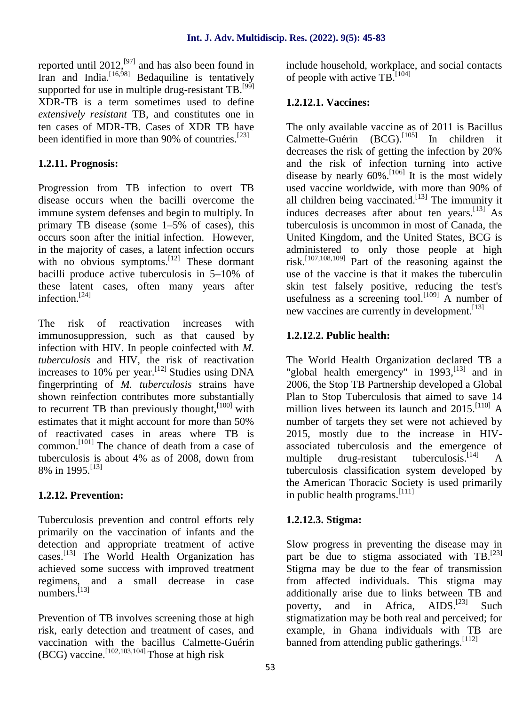reported until  $2012$ ,  $^{[97]}$  and has also been found in in Iran and India.<sup>[16,98]</sup> Bedaquiline is tentatively of supported for use in multiple drug-resistant TB.<sup>[99]</sup> XDR-TB is a term sometimes used to define *extensively resistant* TB, and constitutes one in ten cases of MDR-TB. Cases of XDR TB have been identified in more than 90% of countries.<sup>[23]</sup>

## **1.2.11. Prognosis:**

Progression from TB infection to overt TB disease occurs when the bacilli overcome the immune system defenses and begin to multiply. In primary TB disease (some 1–5% of cases), this occurs soon after the initial infection. However, in the majority of cases, a latent infection occurs with no obvious symptoms.<sup>[12]</sup> These dormant bacilli produce active tuberculosis in 5–10% of these latent cases, often many years after infection.<sup>[24]</sup>

The risk of reactivation increases with immunosuppression, such as that caused by infection with HIV. In people coinfected with *M. tuberculosis* and HIV, the risk of reactivation increases to 10% per year.<sup>[12]</sup> Studies using DNA fingerprinting of *M. tuberculosis* strains have shown reinfection contributes more substantially to recurrent TB than previously thought,  $[100]$  with estimates that it might account for more than 50% of reactivated cases in areas where TB is common.[101] The chance of death from a case of tuberculosis is about 4% as of 2008, down from 8% in 1995.<sup>[13]</sup>

#### **1.2.12. Prevention:**

Tuberculosis prevention and control efforts rely primarily on the vaccination of infants and the detection and appropriate treatment of active cases.[13] The World Health Organization has achieved some success with improved treatment regimens, and a small decrease in case numbers.<sup>[13]</sup>

Prevention of TB involves screening those at high risk, early detection and treatment of cases, and vaccination with the bacillus Calmette-Guérin (BCG) vaccine.<sup>[102,103,104]</sup> Those at high risk

include household, workplace, and social contacts of people with active  $TB<sub>1</sub><sup>[104]</sup>$ 

## **1.2.12.1. Vaccines:**

The only available vaccine as of 2011 is Bacillus Calmette-Guérin  $(BCG)$ .<sup>[105]</sup> In children it decreases the risk of getting the infection by 20% and the risk of infection turning into active disease by nearly  $60\%$ .<sup>[106]</sup> It is the most widely used vaccine worldwide, with more than 90% of all children being vaccinated.<sup>[13]</sup> The immunity it induces decreases after about ten years.<sup>[13]</sup> As tuberculosis is uncommon in most of Canada, the United Kingdom, and the United States, BCG is administered to only those people at high risk.<sup>[107,108,109]</sup> Part of the reasoning against the use of the vaccine is that it makes the tuberculin skin test falsely positive, reducing the test's usefulness as a screening tool.<sup>[109]</sup> A number of new vaccines are currently in development.<sup>[13]</sup>

## **1.2.12.2. Public health:**

The World Health Organization declared TB a "global health emergency" in  $1993$ ,  $^{[13]}$  and in 2006, the Stop TB Partnership developed a Global Plan to Stop Tuberculosis that aimed to save 14 million lives between its launch and  $2015$ .<sup>[110]</sup> A number of targets they set were not achieved by 2015, mostly due to the increase in HIV associated tuberculosis and the emergence of  $drug-resistant$  tuberculosis.<sup>[14]</sup> tuberculosis classification system developed by the American Thoracic Society is used primarily in public health programs.  $[111]$ 

#### **1.2.12.3. Stigma:**

Slow progress in preventing the disease may in part be due to stigma associated with TB. $^{[23]}$ Stigma may be due to the fear of transmission from affected individuals. This stigma may additionally arise due to links between TB and<br>poverty, and in Africa,  $\text{AIDS}$   $^{[23]}$  Such poverty, and in Africa, Such stigmatization may be both real and perceived; for example, in Ghana individuals with TB are banned from attending public gatherings.  $[112]$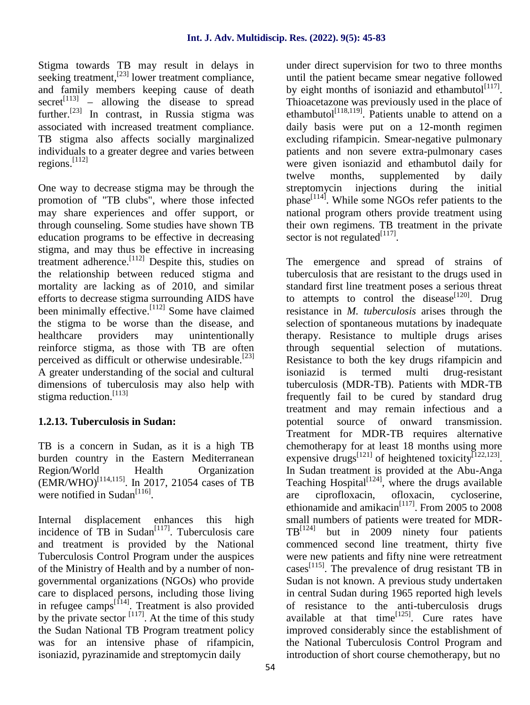Stigma towards TB may result in delays in seeking treatment,<sup>[23]</sup> lower treatment compliance, and family members keeping cause of death  $secret^{[113]}$  – allowing the disease to spread further.<sup>[23]</sup> In contrast, in Russia stigma was associated with increased treatment compliance. TB stigma also affects socially marginalized individuals to a greater degree and varies between regions.[112]

One way to decrease stigma may be through the promotion of "TB clubs", where those infected may share experiences and offer support, or through counseling. Some studies have shown TB education programs to be effective in decreasing stigma, and may thus be effective in increasing treatment adherence.[112] Despite this, studies on the relationship between reduced stigma and mortality are lacking as of 2010, and similar efforts to decrease stigma surrounding AIDS have been minimally effective.<sup>[112]</sup> Some have claimed the stigma to be worse than the disease, and healthcare providers may unintentionally reinforce stigma, as those with TB are often perceived as difficult or otherwise undesirable.<sup>[23]</sup> A greater understanding of the social and cultural dimensions of tuberculosis may also help with stigma reduction.<sup>[113]</sup>

## **1.2.13. Tuberculosis in Sudan:**

TB is a concern in Sudan, as it is a high TB burden country in the Eastern Mediterranean<br>Region/World Health Organization Region/World Health Organization  $(EMR/WHO)^{[114,115]}$ . In 2017, 21054 cases of TB Teac were notified in Sudan<sup>[116]</sup>.

Internal displacement enhances this high incidence of  $\overline{TB}$  in Sudan<sup>[117]</sup>. Tuberculosis care and treatment is provided by the National Tuberculosis Control Program under the auspices of the Ministry of Health and by a number of non governmental organizations (NGOs) who provide care to displaced persons, including those living in refugee camps $\begin{bmatrix} 114 \end{bmatrix}$ . Treatment is also provided of by the private sector  $\begin{bmatrix} 117 \end{bmatrix}$ . At the time of this study the Sudan National TB Program treatment policy was for an intensive phase of rifampicin, isoniazid, pyrazinamide and streptomycin daily

under direct supervision for two to three months until the patient became smear negative followed by eight months of isoniazid and ethambutol<sup>[117]</sup>. Thioacetazone was previously used in the place of ethambutol<sup>[118,119]</sup>. Patients unable to attend on a daily basis were put on a 12-month regimen excluding rifampicin. Smear-negative pulmonary patients and non severe extra-pulmonary cases were given isoniazid and ethambutol daily for twelve months, supplemented by daily streptomycin injections during the initial phase<sup>[114]</sup>. While some NGOs refer patients to the national program others provide treatment using their own regimens. TB treatment in the private sector is not regulated $^{[117]}$ .

The emergence and spread of strains of tuberculosis that are resistant to the drugs used in standard first line treatment poses a serious threat to attempts to control the disease<sup>[120]</sup>. Drug resistance in *M. tuberculosis* arises through the selection of spontaneous mutations by inadequate therapy. Resistance to multiple drugs arises through sequential selection of mutations. Resistance to both the key drugs rifampicin and<br>isoniazid is termed multi drug-resistant isoniazid is termed multi drug-resistant tuberculosis (MDR-TB). Patients with MDR-TB frequently fail to be cured by standard drug treatment and may remain infectious and a potential source of onward transmission. Treatment for MDR-TB requires alternative chemotherapy for at least 18 months using more expensive drugs<sup>[121]</sup> of heightened toxicity<sup>[122,123]</sup>. In Sudan treatment is provided at the Abu-Anga Teaching  $Hospital$ <sup>[124]</sup>, where the drugs available are ciprofloxacin, ofloxacin, cycloserine, ethionamide and amikacin<sup>[117]</sup>. From 2005 to 2008 small numbers of patients were treated for MDR-  $TB^{[124]}$  but in 2009 ninety four patients commenced second line treatment, thirty five were new patients and fifty nine were retreatment cases<sup>[115]</sup>. The prevalence of drug resistant TB in Sudan is not known. A previous study undertaken in central Sudan during 1965 reported high levels of resistance to the anti-tuberculosis drugs available at that time $^{[125]}$ . Cure rates have improved considerably since the establishment of the National Tuberculosis Control Program and introduction of short course chemotherapy, but no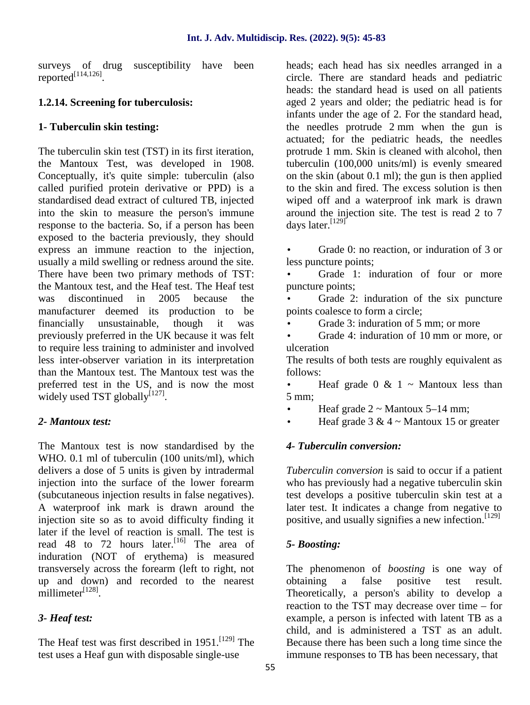surveys of drug susceptibility have been reported[114,126].

## **1.2.14. Screening for tuberculosis:**

## **1- Tuberculin skin testing:**

The tuberculin skin test (TST) in its first iteration, the Mantoux Test, was developed in 1908. Conceptually, it's quite simple: tuberculin (also called purified protein derivative or PPD) is a standardised dead extract of cultured TB, injected into the skin to measure the person's immune response to the bacteria. So, if a person has been exposed to the bacteria previously, they should express an immune reaction to the injection, usually a mild swelling or redness around the site. There have been two primary methods of TST: the Mantoux test, and the Heaf test. The Heaf test was discontinued in 2005 because the manufacturer deemed its production to be financially unsustainable, though it was previously preferred in the UK because it was felt to require less training to administer and involved less inter-observer variation in its interpretation than the Mantoux test. The Mantoux test was the preferred test in the US, and is now the most widely used TST globally $^{[127]}$ .

## *2- Mantoux test:*

The Mantoux test is now standardised by the WHO. 0.1 ml of tuberculin (100 units/ml), which delivers a dose of 5 units is given by intradermal injection into the surface of the lower forearm (subcutaneous injection results in false negatives). A waterproof ink mark is drawn around the injection site so as to avoid difficulty finding it later if the level of reaction is small. The test is read 48 to 72 hours later.<sup>[16]</sup> The area of induration (NOT of erythema) is measured transversely across the forearm (left to right, not up and down) and recorded to the nearest millimeter $^{[128]}$ .

## *3- Heaf test:*

The Heaf test was first described in 1951.<sup>[129]</sup> The test uses a Heaf gun with disposable single-use

heads; each head has six needles arranged in a circle. There are standard heads and pediatric heads: the standard head is used on all patients aged 2 years and older; the pediatric head is for infants under the age of 2. For the standard head, the needles protrude 2 mm when the gun is actuated; for the pediatric heads, the needles protrude 1 mm. Skin is cleaned with alcohol, then tuberculin (100,000 units/ml) is evenly smeared on the skin (about 0.1 ml); the gun is then applied to the skin and fired. The excess solution is then wiped off and a waterproof ink mark is drawn around the injection site. The test is read 2 to 7 days later.<sup>[129]</sup>

 Grade 0: no reaction, or induration of 3 or less puncture points;

 Grade 1: induration of four or more puncture points;

 Grade 2: induration of the six puncture points coalesce to form a circle;

Grade 3: induration of 5 mm; or more

 Grade 4: induration of 10 mm or more, or ulceration

The results of both tests are roughly equivalent as follows:

Heaf grade  $0 \& 1 \sim$  Mantoux less than 5 mm;

Heaf grade  $2 \sim$  Mantoux 5–14 mm;

Heaf grade  $3 & 4 \sim$  Mantoux 15 or greater

## *4- Tuberculin conversion:*

*Tuberculin conversion* is said to occur if a patient who has previously had a negative tuberculin skin test develops a positive tuberculin skin test at a later test. It indicates a change from negative to positive, and usually signifies a new infection.  $[129]$ 

## *5- Boosting:*

The phenomenon of *boosting* is one way of obtaining a false positive test result. Theoretically, a person's ability to develop a reaction to the TST may decrease over time – for example, a person is infected with latent TB as a child, and is administered a TST as an adult. Because there has been such a long time since the immune responses to TB has been necessary, that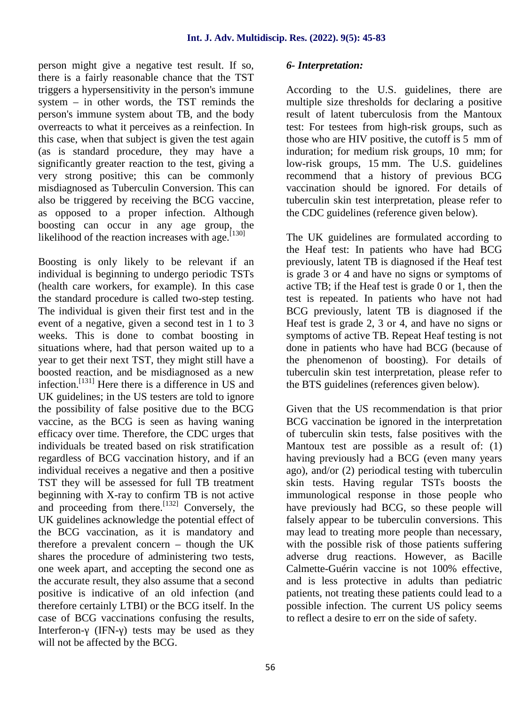person might give a negative test result. If so, there is a fairly reasonable chance that the TST triggers a hypersensitivity in the person's immune system – in other words, the TST reminds the person's immune system about TB, and the body overreacts to what it perceives as a reinfection. In this case, when that subject is given the test again (as is standard procedure, they may have a significantly greater reaction to the test, giving a very strong positive; this can be commonly misdiagnosed as Tuberculin Conversion. This can also be triggered by receiving the BCG vaccine, as opposed to a proper infection. Although boosting can occur in any age group, the likelihood of the reaction increases with age. $[130]$ 

Boosting is only likely to be relevant if an individual is beginning to undergo periodic TSTs (health care workers, for example). In this case the standard procedure is called two-step testing. The individual is given their first test and in the event of a negative, given a second test in 1 to 3 weeks. This is done to combat boosting in situations where, had that person waited up to a year to get their next TST, they might still have a boosted reaction, and be misdiagnosed as a new infection.[131] Here there is a difference in US and UK guidelines; in the US testers are told to ignore the possibility of false positive due to the BCG vaccine, as the BCG is seen as having waning efficacy over time. Therefore, the CDC urges that individuals be treated based on risk stratification regardless of BCG vaccination history, and if an individual receives a negative and then a positive TST they will be assessed for full TB treatment beginning with X-ray to confirm TB is not active and proceeding from there.<sup>[132]</sup> Conversely, the UK guidelines acknowledge the potential effect of the BCG vaccination, as it is mandatory and therefore a prevalent concern – though the UK shares the procedure of administering two tests, one week apart, and accepting the second one as the accurate result, they also assume that a second positive is indicative of an old infection (and therefore certainly LTBI) or the BCG itself. In the case of BCG vaccinations confusing the results, Interferon- (IFN-) tests may be used as they will not be affected by the BCG.

#### *6- Interpretation:*

According to the U.S. guidelines, there are multiple size thresholds for declaring a positive result of latent tuberculosis from the Mantoux test: For testees from high-risk groups, such as those who are HIV positive, the cutoff is 5 mm of induration; for medium risk groups, 10 mm; for low-risk groups, 15 mm. The U.S. guidelines recommend that a history of previous BCG vaccination should be ignored. For details of tuberculin skin test interpretation, please refer to the CDC guidelines (reference given below).

The UK guidelines are formulated according to the Heaf test: In patients who have had BCG previously, latent TB is diagnosed if the Heaf test is grade 3 or 4 and have no signs or symptoms of active TB; if the Heaf test is grade 0 or 1, then the test is repeated. In patients who have not had BCG previously, latent TB is diagnosed if the Heaf test is grade 2, 3 or 4, and have no signs or symptoms of active TB. Repeat Heaf testing is not done in patients who have had BCG (because of the phenomenon of boosting). For details of tuberculin skin test interpretation, please refer to the BTS guidelines (references given below).

Given that the US recommendation is that prior BCG vaccination be ignored in the interpretation of tuberculin skin tests, false positives with the Mantoux test are possible as a result of: (1) having previously had a BCG (even many years ago), and/or (2) periodical testing with tuberculin skin tests. Having regular TSTs boosts the immunological response in those people who have previously had BCG, so these people will falsely appear to be tuberculin conversions. This may lead to treating more people than necessary, with the possible risk of those patients suffering adverse drug reactions. However, as Bacille Calmette-Guérin vaccine is not 100% effective, and is less protective in adults than pediatric patients, not treating these patients could lead to a possible infection. The current US policy seems to reflect a desire to err on the side of safety.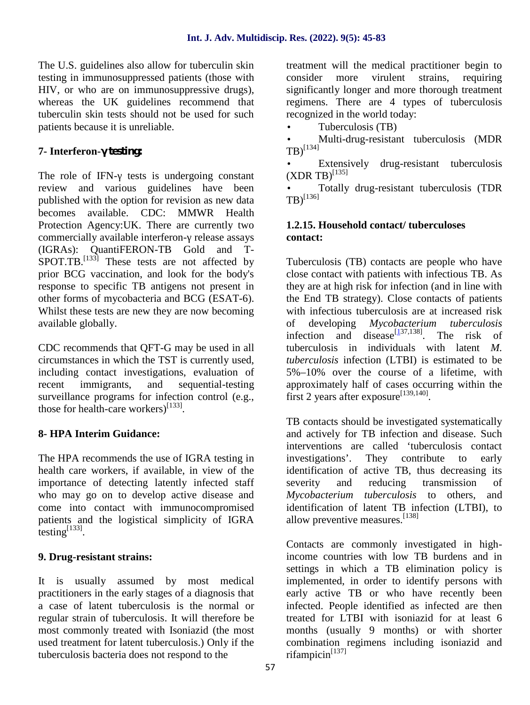The U.S. guidelines also allow for tuberculin skin testing in immunosuppressed patients (those with HIV, or who are on immunosuppressive drugs), whereas the UK guidelines recommend that tuberculin skin tests should not be used for such patients because it is unreliable.

## **7- Interferon-γ testing:**

The role of IFN- tests is undergoing constant review and various guidelines have been published with the option for revision as new data becomes available. CDC: MMWR Health Protection Agency:UK. There are currently two commercially available interferon-release assays (IGRAs): QuantiFERON-TB Gold and T-  $S$ POT.TB.<sup>[133]</sup> These tests are not affected by T prior BCG vaccination, and look for the body's response to specific TB antigens not present in other forms of mycobacteria and BCG (ESAT-6). Whilst these tests are new they are now becoming available globally.

CDC recommends that QFT-G may be used in all circumstances in which the TST is currently used, including contact investigations, evaluation of recent immigrants, and sequential-testing surveillance programs for infection control (e.g., those for health-care workers)<sup>[133]</sup>.

## **8- HPA Interim Guidance:**

The HPA recommends the use of IGRA testing in investigations'. health care workers, if available, in view of the importance of detecting latently infected staff who may go on to develop active disease and come into contact with immunocompromised patients and the logistical simplicity of IGRA testing $^{[133]}$ .

#### **9. Drug-resistant strains:**

It is usually assumed by most medical practitioners in the early stages of a diagnosis that a case of latent tuberculosis is the normal or regular strain of tuberculosis. It will therefore be most commonly treated with Isoniazid (the most used treatment for latent tuberculosis.) Only if the tuberculosis bacteria does not respond to the

treatment will the medical practitioner begin to more virulent strains, requiring significantly longer and more thorough treatment regimens. There are 4 types of tuberculosis recognized in the world today:

Tuberculosis (TB)

 Multi-drug-resistant tuberculosis (MDR  $T$ B)<sup>[134]</sup>

 Extensively drug-resistant tuberculosis  $(XDR TB)^{[135]}$ 

 Totally drug-resistant tuberculosis (TDR  $TB$ <sup>[136]</sup>

#### **1.2.15. Household contact/ tuberculoses contact:**

Tuberculosis (TB) contacts are people who have close contact with patients with infectious TB. As they are at high risk for infection (and in line with the End TB strategy). Close contacts of patients with infectious tuberculosis are at increased risk of developing *Mycobacterium tuberculosis* infection and disease<sup>[137,138]</sup>. The risk of tuberculosis in individuals with latent *M. tuberculosis* infection (LTBI) is estimated to be 5%–10% over the course of a lifetime, with approximately half of cases occurring within the first 2 years after exposure[139,140].

TB contacts should be investigated systematically and actively for TB infection and disease. Such interventions are called 'tuberculosis contact They contribute to early identification of active TB, thus decreasing its severity and reducing transmission of *Mycobacterium tuberculosis* to others, and identification of latent TB infection (LTBI), to allow preventive measures.[138]

Contacts are commonly investigated in highincome countries with low TB burdens and in settings in which a TB elimination policy is implemented, in order to identify persons with early active TB or who have recently been infected. People identified as infected are then treated for LTBI with isoniazid for at least 6 months (usually 9 months) or with shorter combination regimens including isoniazid and rifampicin<sup>[137]</sup>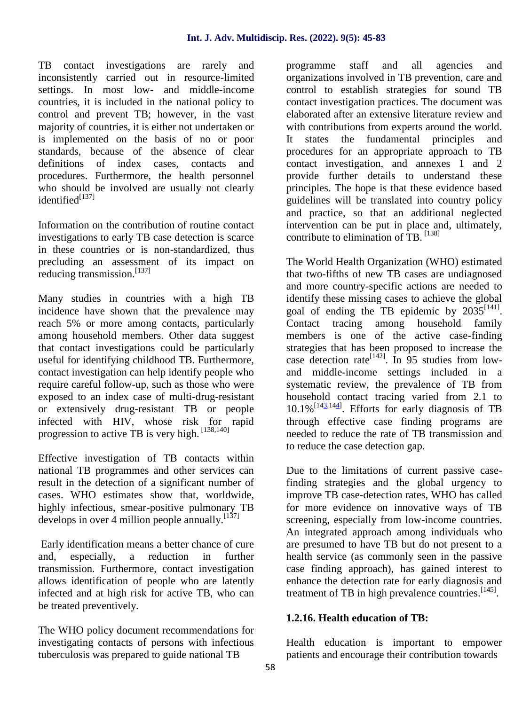TB contact investigations are rarely and inconsistently carried out in resource-limited settings. In most low- and middle-income countries, it is included in the national policy to control and prevent TB; however, in the vast majority of countries, it is either not undertaken or is implemented on the basis of no or poor standards, because of the absence of clear definitions of index cases, contacts and procedures. Furthermore, the health personnel who should be involved are usually not clearly  $id$ entified $[137]$ 

Information on the contribution of routine contact investigations to early TB case detection is scarce in these countries or is non-standardized, thus precluding an assessment of its impact on reducing transmission.[137]

Many studies in countries with a high TB incidence have shown that the prevalence may reach 5% or more among contacts, particularly among household members. Other data suggest that contact investigations could be particularly useful for identifying childhood TB. Furthermore, contact investigation can help identify people who require careful follow-up, such as those who were exposed to an index case of multi-drug-resistant or extensively drug-resistant TB or people infected with HIV, whose risk for rapid progression to active TB is very high. [138,140]

Effective investigation of TB contacts within national TB programmes and other services can result in the detection of a significant number of cases. WHO estimates show that, worldwide, highly infectious, smear-positive pulmonary TB develops in over 4 million people annually.  $[137]$ 

Early identification means a better chance of cure and, especially, a reduction in further transmission. Furthermore, contact investigation allows identification of people who are latently infected and at high risk for active TB, who can be treated preventively.

The WHO policy document recommendations for investigating contacts of persons with infectious tuberculosis was prepared to guide national TB

programme staff and all agencies and organizations involved in TB prevention, care and control to establish strategies for sound TB contact investigation practices. The document was elaborated after an extensive literature review and with contributions from experts around the world. It states the fundamental principles and procedures for an appropriate approach to TB contact investigation, and annexes 1 and 2 provide further details to understand these principles. The hope is that these evidence based guidelines will be translated into country policy and practice, so that an additional neglected intervention can be put in place and, ultimately, contribute to elimination of TB. [138]

The World Health Organization (WHO) estimated that two-fifths of new TB cases are undiagnosed and more country-specific actions are needed to identify these missing cases to achieve the global goal of ending the TB epidemic by  $2035^{[141]}$ . tracing among household family members is one of the active case-finding strategies that has been proposed to increase the case detection rate<sup>[142]</sup>. In 95 studies from lowand middle-income settings included in a systematic review, the prevalence of TB from household contact tracing varied from 2.1 to  $10.1\%$ <sup>[143,144]</sup>. Efforts for early diagnosis of TB through effective case finding programs are needed to reduce the rate of TB transmission and to reduce the case detection gap.

Due to the limitations of current passive casefinding strategies and the global urgency to improve TB case-detection rates, WHO has called for more evidence on innovative ways of TB screening, especially from low-income countries. An integrated approach among individuals who are presumed to have TB but do not present to a health service (as commonly seen in the passive case finding approach), has gained interest to enhance the detection rate for early diagnosis and treatment of TB in high prevalence countries.<sup>[145]</sup>.

## **1.2.16. Health education of TB:**

Health education is important to empower patients and encourage their contribution towards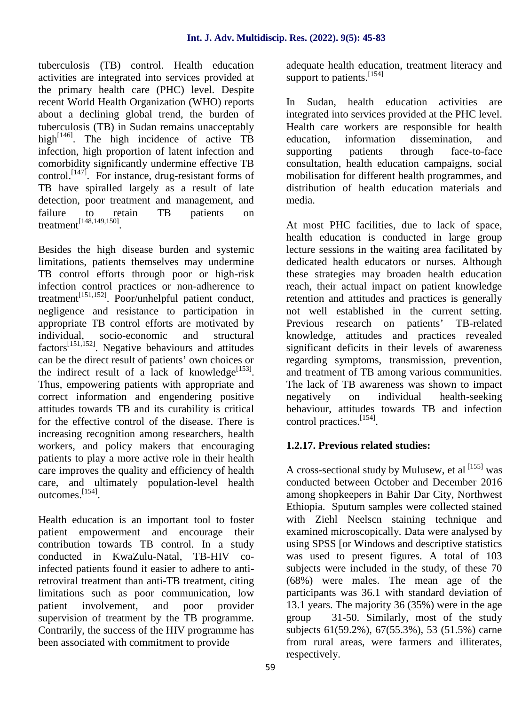tuberculosis (TB) control. Health education activities are integrated into services provided at the primary health care (PHC) level. Despite recent World Health Organization (WHO) reports about a declining global trend, the burden of tuberculosis (TB) in Sudan remains unacceptably high<sup>[146]</sup>. The high incidence of active TB education, infection, high proportion of latent infection and comorbidity significantly undermine effective TB control.<sup> $[147]$ </sup>. For instance, drug-resistant forms of TB have spiralled largely as a result of late detection, poor treatment and management, and failure to retain TB patients on treatment<sup>[148,149,150]</sup>.

Besides the high disease burden and systemic limitations, patients themselves may undermine TB control efforts through poor or high-risk infection control practices or non-adherence to treatment[151,152]. Poor/unhelpful patient conduct, negligence and resistance to participation in appropriate TB control efforts are motivated by individual, socio-economic and structural factors[151,152]. Negative behaviours and attitudes can be the direct result of patients' own choices or the indirect result of a lack of knowledge<sup>[153]</sup>. Thus, empowering patients with appropriate and correct information and engendering positive negatively attitudes towards TB and its curability is critical for the effective control of the disease. There is increasing recognition among researchers, health workers, and policy makers that encouraging patients to play a more active role in their health care improves the quality and efficiency of health care, and ultimately population-level health outcomes.[154].

Health education is an important tool to foster patient empowerment and encourage their contribution towards TB control. In a study conducted in KwaZulu-Natal, TB-HIV coinfected patients found it easier to adhere to antiretroviral treatment than anti-TB treatment, citing limitations such as poor communication, low patient involvement, and poor provider supervision of treatment by the TB programme. Contrarily, the success of the HIV programme has been associated with commitment to provide

adequate health education, treatment literacy and support to patients.<sup>[154]</sup>

In Sudan, health education activities are integrated into services provided at the PHC level. Health care workers are responsible for health information dissemination, and patients through face-to-face consultation, health education campaigns, social mobilisation for different health programmes, and distribution of health education materials and media.

At most PHC facilities, due to lack of space, health education is conducted in large group lecture sessions in the waiting area facilitated by dedicated health educators or nurses. Although these strategies may broaden health education reach, their actual impact on patient knowledge retention and attitudes and practices is generally not well established in the current setting. Previous research on patients' TB-related knowledge, attitudes and practices revealed significant deficits in their levels of awareness regarding symptoms, transmission, prevention, and treatment of TB among various communities. The lack of TB awareness was shown to impact on individual health-seeking behaviour, attitudes towards TB and infection control practices.[154].

## **1.2.17. Previous related studies:**

A cross-sectional study by Mulusew, et al  $^{[155]}$  was conducted between October and December 2016 among shopkeepers in Bahir Dar City, Northwest Ethiopia. Sputum samples were collected stained with Ziehl Neelscn staining technique and examined microscopically. Data were analysed by using SPSS [or Windows and descriptive statistics was used to present figures. A total of 103 subjects were included in the study, of these 70 (68%) were males. The mean age of the participants was 36.1 with standard deviation of 13.1 years. The majority 36 (35%) were in the age group 31-50. Similarly, most of the study subjects 61(59.2%), 67(55.3%), 53 (51.5%) carne from rural areas, were farmers and illiterates, respectively.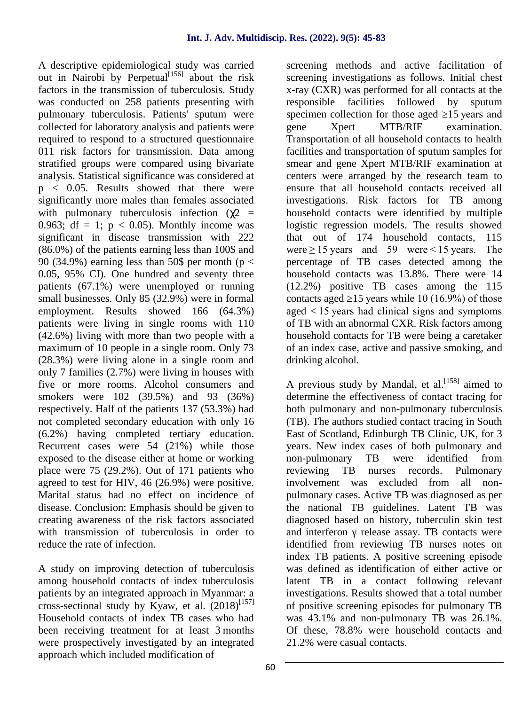A descriptive epidemiological study was carried out in Nairobi by Perpetual $[156]$  about the risk factors in the transmission of tuberculosis. Study was conducted on 258 patients presenting with pulmonary tuberculosis. Patients' sputum were collected for laboratory analysis and patients were required to respond to a structured questionnaire 011 risk factors for transmission. Data among stratified groups were compared using bivariate analysis. Statistical significance was considered at p < 0.05. Results showed that there were significantly more males than females associated with pulmonary tuberculosis infection ( $2 =$ 0.963; df = 1;  $p < 0.05$ ). Monthly income was significant in disease transmission with 222 (86.0%) of the patients earning less than 100\$ and 90 (34.9%) earning less than 50\$ per month ( $p <$ 0.05, 95% CI). One hundred and seventy three patients (67.1%) were unemployed or running small businesses. Only 85 (32.9%) were in formal employment. Results showed 166 (64.3%) patients were living in single rooms with 110 (42.6%) living with more than two people with a maximum of 10 people in a single room. Only 73 (28.3%) were living alone in a single room and only 7 families (2.7%) were living in houses with five or more rooms. Alcohol consumers and smokers were 102 (39.5%) and 93 (36%) respectively. Half of the patients 137 (53.3%) had not completed secondary education with only 16 (6.2%) having completed tertiary education. Recurrent cases were 54 (21%) while those exposed to the disease either at home or working place were 75 (29.2%). Out of 171 patients who agreed to test for HIV, 46 (26.9%) were positive. Marital status had no effect on incidence of disease. Conclusion: Emphasis should be given to creating awareness of the risk factors associated with transmission of tuberculosis in order to reduce the rate of infection.

A study on improving detection of tuberculosis among household contacts of index tuberculosis patients by an integrated approach in Myanmar: a cross-sectional study by Kyaw, et al.  $(2018)^{[157]}$ Household contacts of index TB cases who had been receiving treatment for at least 3 months were prospectively investigated by an integrated approach which included modification of

screening methods and active facilitation of screening investigations as follows. Initial chest x-ray (CXR) was performed for all contacts at the responsible facilities followed by sputum specimen collection for those aged 15 years and Xpert MTB/RIF examination. Transportation of all household contacts to health facilities and transportation of sputum samples for smear and gene Xpert MTB/RIF examination at centers were arranged by the research team to ensure that all household contacts received all investigations. Risk factors for TB among household contacts were identified by multiple logistic regression models. The results showed that out of 174 household contacts, 115 were $\geq$ 15 years and 59 were $\leq$ 15 years. The percentage of TB cases detected among the household contacts was 13.8%. There were 14 (12.2%) positive TB cases among the 115 contacts aged  $15$  years while 10 (16.9%) of those aged < 15 years had clinical signs and symptoms of TB with an abnormal CXR. Risk factors among household contacts for TB were being a caretaker of an index case, active and passive smoking, and drinking alcohol.

A previous study by Mandal, et al.<sup>[158]</sup> aimed to determine the effectiveness of contact tracing for both pulmonary and non-pulmonary tuberculosis (TB). The authors studied contact tracing in South East of Scotland, Edinburgh TB Clinic, UK, for 3 years. New index cases of both pulmonary and non-pulmonary TB were identified from TB nurses records. Pulmonary involvement was excluded from all non pulmonary cases. Active TB was diagnosed as per the national TB guidelines. Latent TB was diagnosed based on history, tuberculin skin test and interferon release assay. TB contacts were identified from reviewing TB nurses notes on index TB patients. A positive screening episode was defined as identification of either active or latent TB in a contact following relevant investigations. Results showed that a total number of positive screening episodes for pulmonary TB was 43.1% and non-pulmonary TB was 26.1%. Of these, 78.8% were household contacts and 21.2% were casual contacts.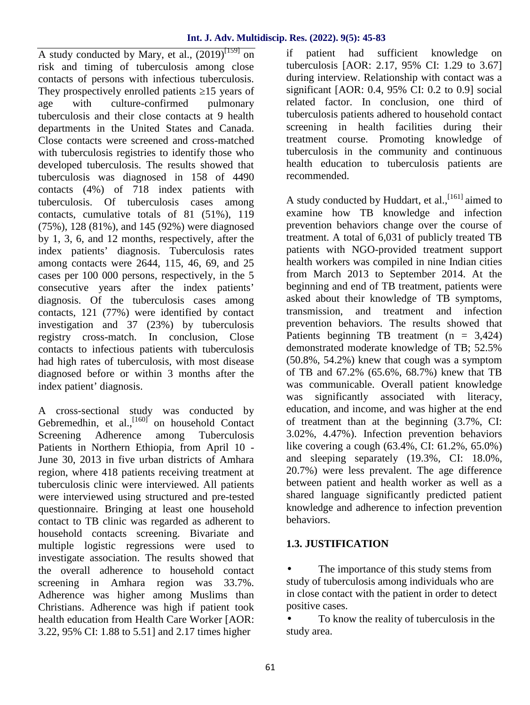A study conducted by Mary, et al.,  $(2019)^{[159]}$  on if risk and timing of tuberculosis among close contacts of persons with infectious tuberculosis. They prospectively enrolled patients 15 years of age with culture-confirmed pulmonary tuberculosis and their close contacts at 9 health departments in the United States and Canada. Close contacts were screened and cross-matched with tuberculosis registries to identify those who developed tuberculosis. The results showed that tuberculosis was diagnosed in 158 of 4490 contacts (4%) of 718 index patients with tuberculosis. Of tuberculosis cases among contacts, cumulative totals of 81 (51%), 119 (75%), 128 (81%), and 145 (92%) were diagnosed by 1, 3, 6, and 12 months, respectively, after the index patients' diagnosis. Tuberculosis rates among contacts were 2644, 115, 46, 69, and 25 cases per 100 000 persons, respectively, in the 5 consecutive years after the index patients' diagnosis. Of the tuberculosis cases among asked about the contacts 121 (77%) were identified by contact transmission. contacts, 121 (77%) were identified by contact investigation and 37 (23%) by tuberculosis registry cross-match. In conclusion, Close contacts to infectious patients with tuberculosis had high rates of tuberculosis, with most disease diagnosed before or within 3 months after the index patient' diagnosis.

A cross-sectional study was conducted by Gebremedhin, et al.,<sup>[160]</sup> on household Contact Screening Adherence among Tuberculosis Patients in Northern Ethiopia, from April 10 - June 30, 2013 in five urban districts of Amhara region, where 418 patients receiving treatment at tuberculosis clinic were interviewed. All patients were interviewed using structured and pre-tested questionnaire. Bringing at least one household contact to TB clinic was regarded as adherent to household contacts screening. Bivariate and multiple logistic regressions were used to investigate association. The results showed that the overall adherence to household contact screening in Amhara region was 33.7%. Adherence was higher among Muslims than Christians. Adherence was high if patient took health education from Health Care Worker [AOR: 3.22, 95% CI: 1.88 to 5.51] and 2.17 times higher

patient had sufficient knowledge on tuberculosis [AOR: 2.17, 95% CI: 1.29 to 3.67] during interview. Relationship with contact was a significant [AOR: 0.4, 95% CI: 0.2 to 0.9] social related factor. In conclusion, one third of tuberculosis patients adhered to household contact screening in health facilities during their treatment course. Promoting knowledge of tuberculosis in the community and continuous health education to tuberculosis patients are recommended.

A study conducted by Huddart, et al.,<sup>[161]</sup> aimed to examine how TB knowledge and infection prevention behaviors change over the course of treatment. A total of 6,031 of publicly treated TB patients with NGO-provided treatment support health workers was compiled in nine Indian cities from March 2013 to September 2014. At the beginning and end of TB treatment, patients were asked about their knowledge of TB symptoms, and treatment and infection prevention behaviors. The results showed that Patients beginning TB treatment  $(n = 3,424)$ demonstrated moderate knowledge of TB; 52.5% (50.8%, 54.2%) knew that cough was a symptom of TB and 67.2% (65.6%, 68.7%) knew that TB was communicable. Overall patient knowledge was significantly associated with literacy, education, and income, and was higher at the end of treatment than at the beginning (3.7%, CI: 3.02%, 4.47%). Infection prevention behaviors like covering a cough (63.4%, CI: 61.2%, 65.0%) and sleeping separately (19.3%, CI: 18.0%, 20.7%) were less prevalent. The age difference between patient and health worker as well as a shared language significantly predicted patient knowledge and adherence to infection prevention behaviors.

## **1.3. JUSTIFICATION**

 The importance of this study stems from study of tuberculosis among individuals who are in close contact with the patient in order to detect positive cases.

 To know the reality of tuberculosis in the study area.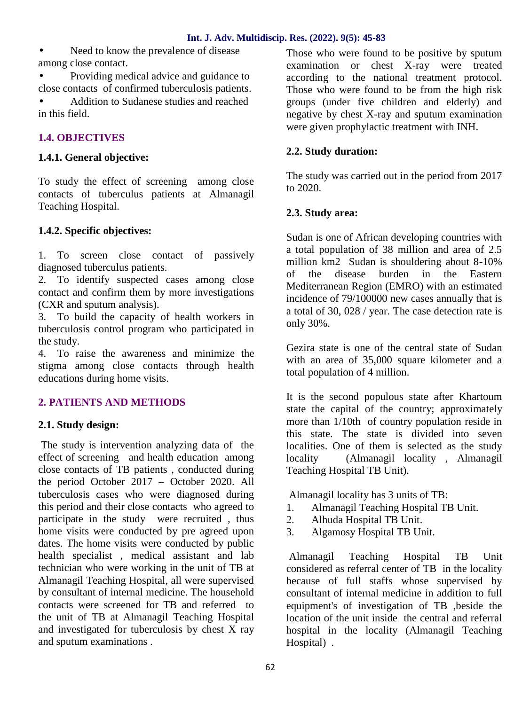Need to know the prevalence of disease among close contact.

 Providing medical advice and guidance to close contacts of confirmed tuberculosis patients. Addition to Sudanese studies and reached in this field.

## **1.4. OBJECTIVES**

## **1.4.1. General objective:**

To study the effect of screening among close contacts of tuberculus patients at Almanagil Teaching Hospital.

## **1.4.2. Specific objectives:**

1. To screen close contact of passively diagnosed tuberculus patients.

2. To identify suspected cases among close contact and confirm them by more investigations (CXR and sputum analysis).

3. To build the capacity of health workers in tuberculosis control program who participated in the study.

4. To raise the awareness and minimize the stigma among close contacts through health educations during home visits.

## **2. PATIENTS AND METHODS**

## **2.1. Study design:**

The study is intervention analyzing data of the effect of screening and health education among close contacts of TB patients , conducted during the period October 2017 – October 2020. All tuberculosis cases who were diagnosed during this period and their close contacts who agreed to participate in the study were recruited , thus home visits were conducted by pre agreed upon 3. dates. The home visits were conducted by public health specialist , medical assistant and lab technician who were working in the unit of TB at Almanagil Teaching Hospital, all were supervised by consultant of internal medicine. The household contacts were screened for TB and referred to the unit of TB at Almanagil Teaching Hospital and investigated for tuberculosis by chest X ray and sputum examinations .

Those who were found to be positive by sputum examination or chest X-ray were treated according to the national treatment protocol. Those who were found to be from the high risk groups (under five children and elderly) and negative by chest X-ray and sputum examination were given prophylactic treatment with INH.

## **2.2. Study duration:**

The study was carried out in the period from 2017 to 2020.

## **2.3. Study area:**

Sudan is one of African developing countries with a total population of 38 million and area of 2.5 million km2 Sudan is shouldering about 8-10% of the disease burden in the Eastern Mediterranean Region (EMRO) with an estimated incidence of 79/100000 new cases annually that is a total of 30, 028 / year. The case detection rate is only 30%.

Gezira state is one of the central state of Sudan with an area of 35,000 square kilometer and a total population of 4 million.

It is the second populous state after Khartoum state the capital of the country; approximately more than 1/10th of country population reside in this state. The state is divided into seven localities. One of them is selected as the study (Almanagil locality, Almanagil Teaching Hospital TB Unit).

Almanagil locality has 3 units of TB:

- 1. Almanagil Teaching Hospital TB Unit.
- 2. Alhuda Hospital TB Unit.
- 3. Algamosy Hospital TB Unit.

Almanagil Teaching Hospital TB Unit considered as referral center of TB in the locality because of full staffs whose supervised by consultant of internal medicine in addition to full equipment's of investigation of TB ,beside the location of the unit inside the central and referral hospital in the locality (Almanagil Teaching Hospital) .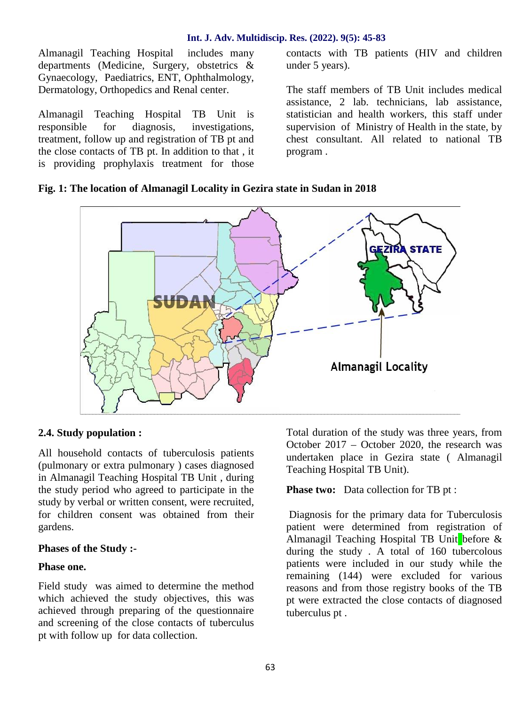Almanagil Teaching Hospital includes many departments (Medicine, Surgery, obstetrics & Gynaecology, Paediatrics, ENT, Ophthalmology, Dermatology, Orthopedics and Renal center.

Almanagil Teaching Hospital TB Unit is responsible for diagnosis, investigations, treatment, follow up and registration of TB pt and the close contacts of TB pt. In addition to that , it is providing prophylaxis treatment for those

contacts with TB patients (HIV and children under 5 years).

The staff members of TB Unit includes medical assistance, 2 lab. technicians, lab assistance, statistician and health workers, this staff under supervision of Ministry of Health in the state, by chest consultant. All related to national TB program .

#### **Fig. 1: The location of Almanagil Locality in Gezira state in Sudan in 2018**



#### **2.4. Study population :**

All household contacts of tuberculosis patients (pulmonary or extra pulmonary ) cases diagnosed in Almanagil Teaching Hospital TB Unit , during the study period who agreed to participate in the study by verbal or written consent, were recruited, for children consent was obtained from their gardens.

#### **Phases of the Study :-**

#### **Phase one.**

Field study was aimed to determine the method which achieved the study objectives, this was achieved through preparing of the questionnaire and screening of the close contacts of tuberculus pt with follow up for data collection.

Total duration of the study was three years, from October 2017 – October 2020, the research was undertaken place in Gezira state ( Almanagil Teaching Hospital TB Unit).

#### **Phase two:** Data collection for TB pt :

Diagnosis for the primary data for Tuberculosis patient were determined from registration of Almanagil Teaching Hospital TB Unit before & during the study . A total of 160 tubercolous patients were included in our study while the remaining (144) were excluded for various reasons and from those registry books of the TB pt were extracted the close contacts of diagnosed tuberculus pt .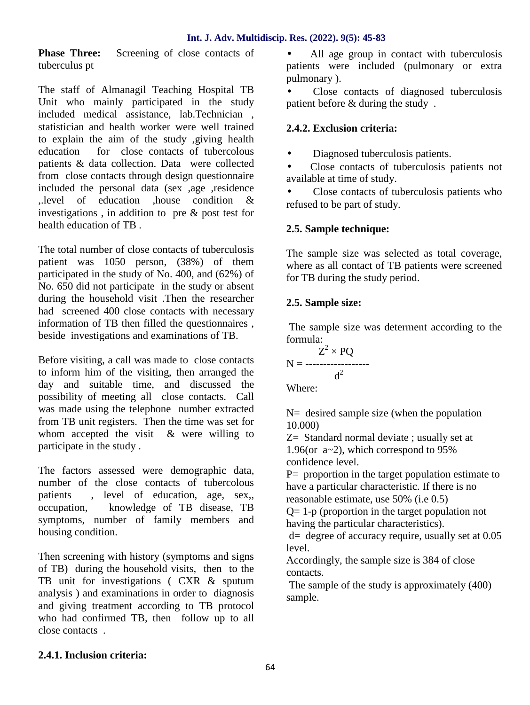**Phase Three:** Screening of close contacts of tuberculus pt

The staff of Almanagil Teaching Hospital TB Unit who mainly participated in the study included medical assistance, lab.Technician , statistician and health worker were well trained to explain the aim of the study ,giving health education for close contacts of tubercolous patients & data collection. Data were collected from close contacts through design questionnaire included the personal data (sex ,age ,residence ,.level of education ,house condition & investigations , in addition to pre & post test for health education of TB .

The total number of close contacts of tuberculosis patient was 1050 person, (38%) of them participated in the study of No. 400, and (62%) of No. 650 did not participate in the study or absent during the household visit .Then the researcher had screened 400 close contacts with necessary information of TB then filled the questionnaires , beside investigations and examinations of TB.

Before visiting, a call was made to close contacts to inform him of the visiting, then arranged the day and suitable time, and discussed the possibility of meeting all close contacts. Call was made using the telephone number extracted from TB unit registers. Then the time was set for whom accepted the visit  $\&$  were willing to participate in the study .

The factors assessed were demographic data, number of the close contacts of tubercolous patients , level of education, age, sex,, occupation, knowledge of TB disease, TB symptoms, number of family members and housing condition.

Then screening with history (symptoms and signs of TB) during the household visits, then to the TB unit for investigations ( CXR & sputum analysis ) and examinations in order to diagnosis and giving treatment according to TB protocol who had confirmed TB, then follow up to all close contacts .

 All age group in contact with tuberculosis patients were included (pulmonary or extra pulmonary ).

 Close contacts of diagnosed tuberculosis patient before & during the study .

## **2.4.2. Exclusion criteria:**

Diagnosed tuberculosis patients.

 Close contacts of tuberculosis patients not available at time of study.

 Close contacts of tuberculosis patients who refused to be part of study.

## **2.5. Sample technique:**

The sample size was selected as total coverage, where as all contact of TB patients were screened for TB during the study period.

## **2.5. Sample size:**

The sample size was determent according to the formula:

$$
N = \frac{Z^2 \times PQ}{d^2}
$$

Where:

 $N=$  desired sample size (when the population 10.000)

Z= Standard normal deviate ; usually set at 1.96(or a~2), which correspond to 95% confidence level.

P= proportion in the target population estimate to have a particular characteristic. If there is no reasonable estimate, use 50% (i.e 0.5)

Q= 1-p (proportion in the target population not having the particular characteristics).

d= degree of accuracy require, usually set at 0.05 level.

Accordingly, the sample size is 384 of close contacts.

The sample of the study is approximately (400) sample.

## **2.4.1. Inclusion criteria:**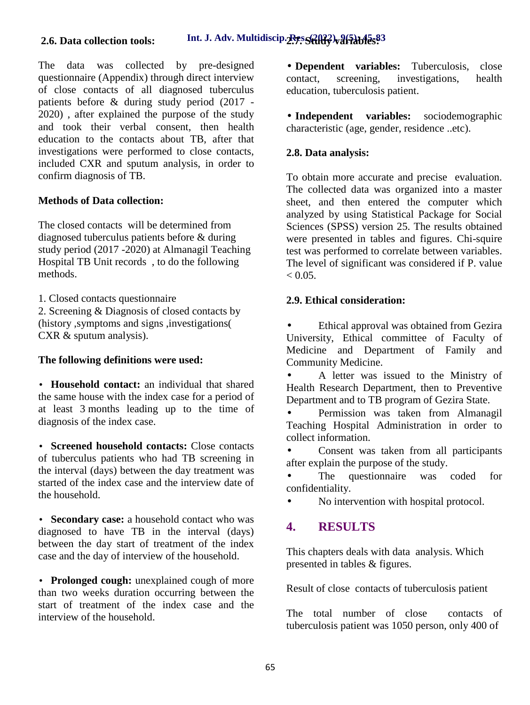The data was collected by pre-designed questionnaire (Appendix) through direct interview contact, of close contacts of all diagnosed tuberculus patients before & during study period (2017 - 2020) , after explained the purpose of the study and took their verbal consent, then health education to the contacts about TB, after that investigations were performed to close contacts, included CXR and sputum analysis, in order to confirm diagnosis of TB.

## **Methods of Data collection:**

The closed contacts will be determined from diagnosed tuberculus patients before & during study period (2017 -2020) at Almanagil Teaching Hospital TB Unit records , to do the following methods.

1. Closed contacts questionnaire

2. Screening & Diagnosis of closed contacts by (history ,symptoms and signs ,investigations( CXR & sputum analysis).

## **The following definitions were used:**

 **Household contact:** an individual that shared the same house with the index case for a period of at least 3 months leading up to the time of diagnosis of the index case.

 **Screened household contacts:** Close contacts of tuberculus patients who had TB screening in the interval (days) between the day treatment was started of the index case and the interview date of the household.

 **Secondary case:** a household contact who was diagnosed to have TB in the interval (days) between the day start of treatment of the index case and the day of interview of the household.

 **Prolonged cough:** unexplained cough of more than two weeks duration occurring between the start of treatment of the index case and the interview of the household.

 **Dependent variables:** Tuberculosis, close screening, investigations, health education, tuberculosis patient.

 **Independent variables:** sociodemographic characteristic (age, gender, residence ..etc).

## **2.8. Data analysis:**

To obtain more accurate and precise evaluation. The collected data was organized into a master sheet, and then entered the computer which analyzed by using Statistical Package for Social Sciences (SPSS) version 25. The results obtained were presented in tables and figures. Chi-squire test was performed to correlate between variables. The level of significant was considered if P. value  $< 0.05$ .

## **2.9. Ethical consideration:**

 Ethical approval was obtained from Gezira University, Ethical committee of Faculty of Medicine and Department of Family and Community Medicine.

 A letter was issued to the Ministry of Health Research Department, then to Preventive Department and to TB program of Gezira State.

 Permission was taken from Almanagil Teaching Hospital Administration in order to collect information.

 Consent was taken from all participants after explain the purpose of the study.

 The questionnaire was coded for confidentiality.

No intervention with hospital protocol.

## **4. RESULTS**

This chapters deals with data analysis. Which presented in tables & figures.

Result of close contacts of tuberculosis patient

The total number of close contacts of tuberculosis patient was 1050 person, only 400 of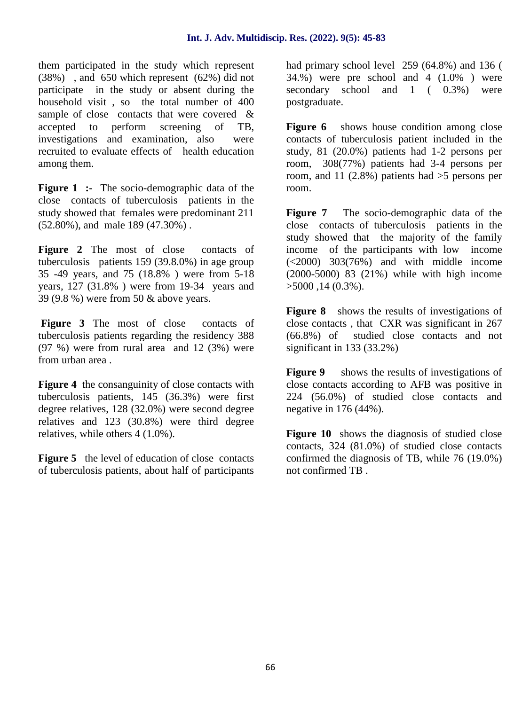them participated in the study which represent (38%) , and 650 which represent (62%) did not participate in the study or absent during the household visit , so the total number of 400 sample of close contacts that were covered & accepted to perform screening of TB, investigations and examination, also were recruited to evaluate effects of health education among them.

**Figure 1 :-** The socio-demographic data of the close contacts of tuberculosis patients in the study showed that females were predominant 211 Figure 7 (52.80%), and male 189 (47.30%) .

Figure 2 The most of close contacts of tuberculosis patients 159 (39.8.0%) in age group 35 -49 years, and 75 (18.8% ) were from 5-18 years, 127 (31.8% ) were from 19-34 years and 39 (9.8 %) were from 50 & above years.

Figure 3 The most of close contacts of tuberculosis patients regarding the residency 388 (97 %) were from rural area and 12 (3%) were from urban area .

**Figure 4** the consanguinity of close contacts with tuberculosis patients, 145 (36.3%) were first degree relatives, 128 (32.0%) were second degree relatives and 123 (30.8%) were third degree relatives, while others 4 (1.0%).

**Figure 5** the level of education of close contacts of tuberculosis patients, about half of participants had primary school level 259 (64.8%) and 136 (  $34.%$ ) were pre school and  $4$   $(1.0%$  ) were secondary school and 1 (  $0.3\%$ ) were postgraduate.

**Figure 6** shows house condition among close contacts of tuberculosis patient included in the study, 81 (20.0%) patients had 1-2 persons per room, 308(77%) patients had 3-4 persons per room, and 11 (2.8%) patients had  $>5$  persons per room.

The socio-demographic data of the close contacts of tuberculosis patients in the study showed that the majority of the family income of the participants with low income  $(\leq 2000)$  303(76%) and with middle income (2000-5000) 83 (21%) while with high income  $>5000$ , 14 (0.3%).

**Figure 8** shows the results of investigations of close contacts , that CXR was significant in 267 studied close contacts and not significant in 133 (33.2%)

**Figure 9** shows the results of investigations of close contacts according to AFB was positive in 224 (56.0%) of studied close contacts and negative in 176 (44%).

**Figure 10** shows the diagnosis of studied close contacts, 324 (81.0%) of studied close contacts confirmed the diagnosis of TB, while 76 (19.0%) not confirmed TB .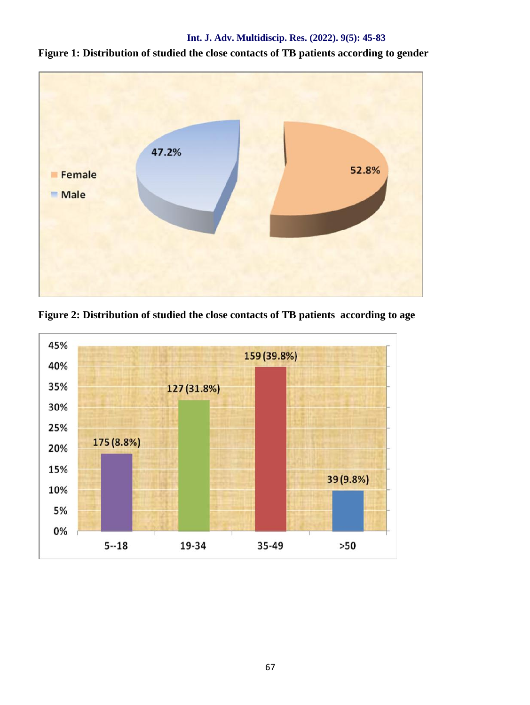

**Figure 1: Distribution of studied the close contacts of TB patients according to gender**

**Figure 2: Distribution of studied the close contacts of TB patients according to age**

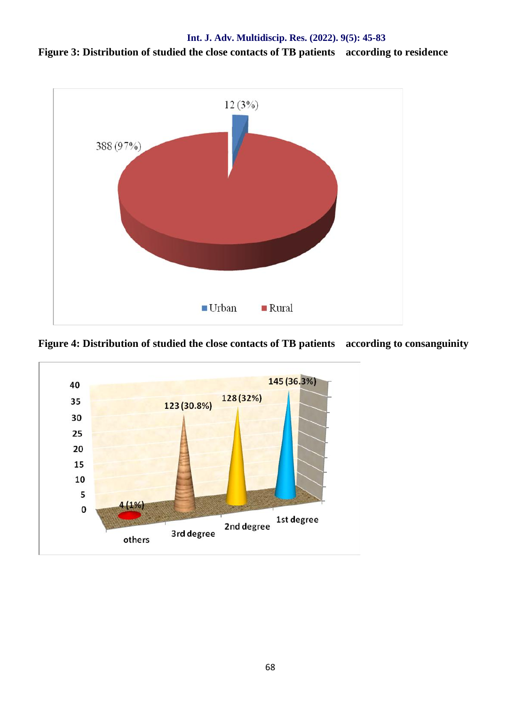**Figure 3: Distribution of studied the close contacts of TB patients according to residence**



**Figure 4: Distribution of studied the close contacts of TB patients according to consanguinity**

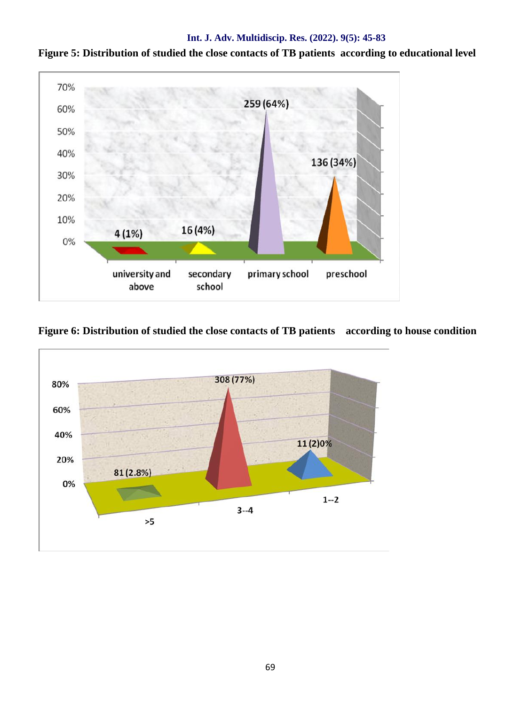

**Figure 5: Distribution of studied the close contacts of TB patients according to educational level**

**Figure 6: Distribution of studied the close contacts of TB patients according to house condition**

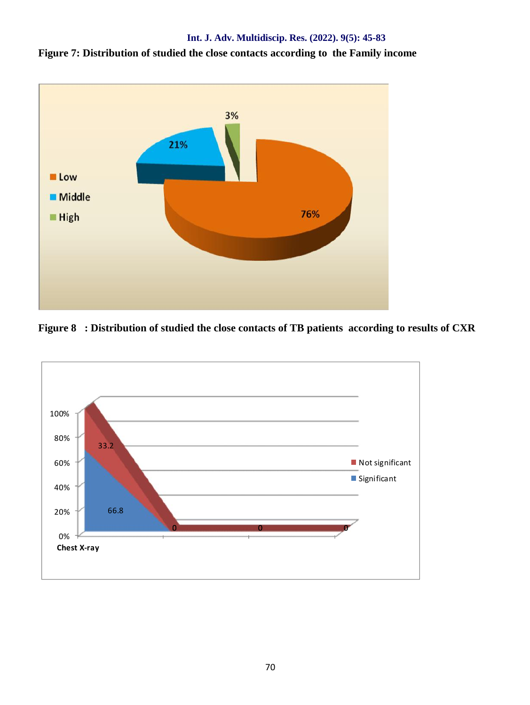



**Figure 8 : Distribution of studied the close contacts of TB patients according to results of CXR**

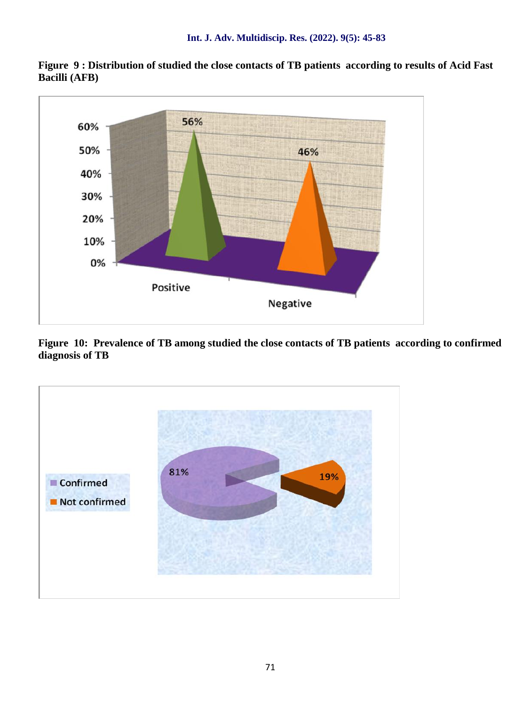

**Figure 9 : Distribution of studied the close contacts of TB patients according to results of Acid Fast Bacilli (AFB)**

**Figure 10: Prevalence of TB among studied the close contacts of TB patients according to confirmed diagnosis of TB**

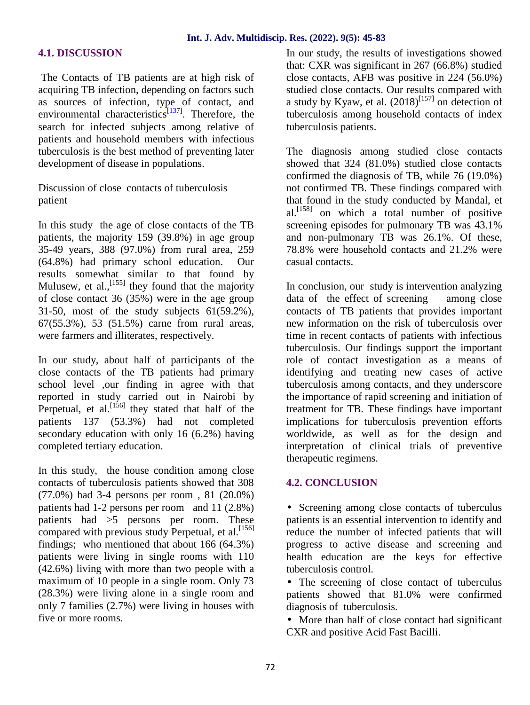#### **4.1. DISCUSSION**

The Contacts of TB patients are at high risk of acquiring TB infection, depending on factors such as sources of infection, type of contact, and environmental characteristics $\frac{[137]}{]}$ . Therefore, the search for infected subjects among relative of patients and household members with infectious tuberculosis is the best method of preventing later development of disease in populations.

Discussion of close contacts of tuberculosis patient

In this study the age of close contacts of the TB patients, the majority 159 (39.8%) in age group 35-49 years, 388 (97.0%) from rural area, 259 (64.8%) had primary school education. Our results somewhat similar to that found by Mulusew, et al.,  $[155]$  they found that the majority of close contact 36 (35%) were in the age group 31-50, most of the study subjects 61(59.2%), 67(55.3%), 53 (51.5%) carne from rural areas, were farmers and illiterates, respectively.

In our study, about half of participants of the close contacts of the TB patients had primary school level ,our finding in agree with that reported in study carried out in Nairobi by Perpetual, et al.  $[156]$  they stated that half of the patients 137 (53.3%) had not completed secondary education with only 16 (6.2%) having completed tertiary education.

In this study, the house condition among close contacts of tuberculosis patients showed that 308 (77.0%) had 3-4 persons per room , 81 (20.0%) patients had 1-2 persons per room and 11 (2.8%) patients had >5 persons per room. These compared with previous study Perpetual, et al.  $[156]$ findings; who mentioned that about 166 (64.3%) patients were living in single rooms with 110 (42.6%) living with more than two people with a maximum of 10 people in a single room. Only 73 (28.3%) were living alone in a single room and only 7 families (2.7%) were living in houses with five or more rooms.

In our study, the results of investigations showed that: CXR was significant in 267 (66.8%) studied close contacts, AFB was positive in 224 (56.0%) studied close contacts. Our results compared with a study by Kyaw, et al.  $(2018)^{[157]}$  on detection of tuberculosis among household contacts of index tuberculosis patients.

The diagnosis among studied close contacts showed that 324 (81.0%) studied close contacts confirmed the diagnosis of TB, while 76 (19.0%) not confirmed TB. These findings compared with that found in the study conducted by Mandal, et al.[158] on which a total number of positive screening episodes for pulmonary TB was 43.1% and non-pulmonary TB was 26.1%. Of these, 78.8% were household contacts and 21.2% were casual contacts.

In conclusion, our study is intervention analyzing data of the effect of screening among close contacts of TB patients that provides important new information on the risk of tuberculosis over time in recent contacts of patients with infectious tuberculosis. Our findings support the important role of contact investigation as a means of identifying and treating new cases of active tuberculosis among contacts, and they underscore the importance of rapid screening and initiation of treatment for TB. These findings have important implications for tuberculosis prevention efforts worldwide, as well as for the design and interpretation of clinical trials of preventive therapeutic regimens.

#### **4.2. CONCLUSION**

 Screening among close contacts of tuberculus patients is an essential intervention to identify and reduce the number of infected patients that will progress to active disease and screening and health education are the keys for effective tuberculosis control.

 The screening of close contact of tuberculus patients showed that 81.0% were confirmed diagnosis of tuberculosis.

 More than half of close contact had significant CXR and positive Acid Fast Bacilli.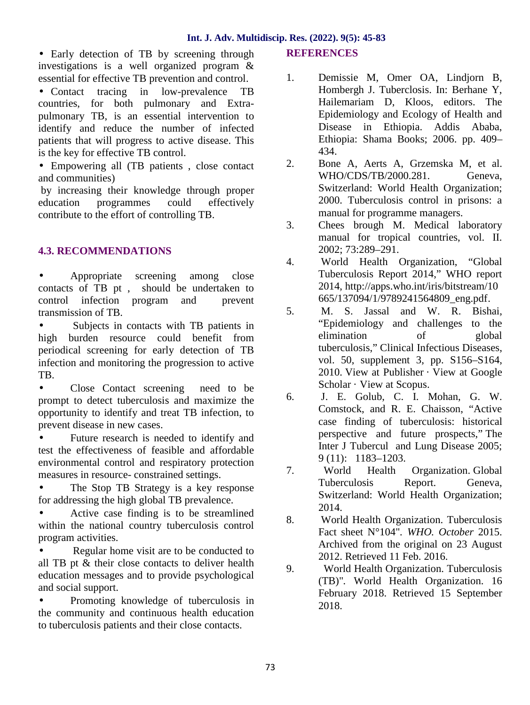Early detection of TB by screening through investigations is a well organized program & essential for effective TB prevention and control.

 Contact tracing in low-prevalence TB countries, for both pulmonary and Extra pulmonary TB, is an essential intervention to identify and reduce the number of infected patients that will progress to active disease. This is the key for effective TB control.

 Empowering all (TB patients , close contact and communities)

by increasing their knowledge through proper education programmes could effectively contribute to the effort of controlling TB.

## **4.3. RECOMMENDATIONS**

 Appropriate screening among close contacts of TB pt , should be undertaken to control infection program and prevent transmission of TB.

 Subjects in contacts with TB patients in high burden resource could benefit from periodical screening for early detection of TB infection and monitoring the progression to active TB.

(b) Close Contact screening need to be<br>prompt to detect tuberculosis and maximize the 6. prompt to detect tuberculosis and maximize the opportunity to identify and treat TB infection, to prevent disease in new cases.

 Future research is needed to identify and test the effectiveness of feasible and affordable environmental control and respiratory protection measures in resource- constrained settings.

 The Stop TB Strategy is a key response for addressing the high global TB prevalence.

Active case finding is to be streamlined  $\overline{8}$ . within the national country tuberculosis control program activities.

Regular home visit are to be conducted to all TB pt & their close contacts to deliver health education messages and to provide psychological and social support.

 Promoting knowledge of tuberculosis in the community and continuous health education to tuberculosis patients and their close contacts.

### **REFERENCES**

- 1. Demissie M, Omer OA, Lindjorn B, Hombergh J. Tuberclosis. In: Berhane Y, Hailemariam D, Kloos, editors. The Epidemiology and Ecology of Health and Disease in Ethiopia. Addis Ababa, Ethiopia: Shama Books; 2006. pp. 409– 434.
- 2. Bone A, Aerts A, Grzemska M, et al. WHO/CDS/TB/2000.281. Geneva, Switzerland: World Health Organization; 2000. Tuberculosis control in prisons: a manual for programme managers.
- 3. Chees brough M. Medical laboratory manual for tropical countries, vol. II. 2002; 73:289–291.
- 4. World Health Organization, "Global Tuberculosis Report 2014," WHO report 2014, http://apps.who.int/iris/bitstream/10 665/137094/1/9789241564809\_eng.pdf.
- 5. M. S. Jassal and W. R. Bishai, "Epidemiology and challenges to the elimination of global tuberculosis," Clinical Infectious Diseases, vol. 50, supplement 3, pp. S156–S164, 2010. View at Publisher · View at Google Scholar · View at Scopus.
- 6. J. E. Golub, C. I. Mohan, G. W. Comstock, and R. E. Chaisson, "Active case finding of tuberculosis: historical perspective and future prospects," The Inter J Tubercul and Lung Disease 2005; 9 (11): 1183–1203.
- 7. World Health Organization. Global Tuberculosis Report. Geneva, Switzerland: World Health Organization; 2014.
- World Health Organization. Tuberculosis Fact sheet N°104"*. WHO. October* 2015. Archived from the original on 23 August 2012. Retrieved 11 Feb. 2016*.*
- 9. World Health Organization. Tuberculosis (TB)"*.* World Health Organization. 16 February 2018. Retrieved 15 September 2018.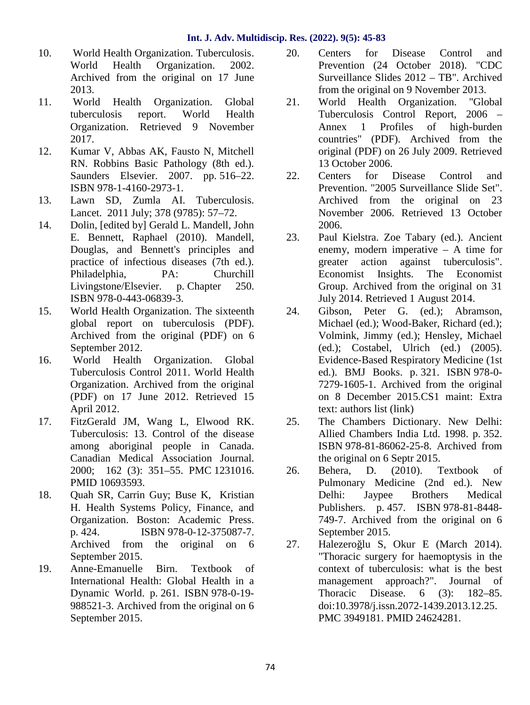- 10. World Health Organization. Tuberculosis. World Health Organization. 2002. Archived from the original on 17 June 2013.
- 11. World Health Organization. Global tuberculosis report. World Health Organization. Retrieved 9 November 2017.
- 12. Kumar V, Abbas AK, Fausto N, Mitchell RN. Robbins Basic Pathology (8th ed.). Saunders Elsevier. 2007. pp. 516–22. ISBN 978-1-4160-2973-1.
- 13. Lawn SD, Zumla AI. Tuberculosis. Lancet. 2011 July; 378 (9785): 57–72.
- 14. Dolin, [edited by] Gerald L. Mandell, John E. Bennett, Raphael (2010). Mandell, Douglas, and Bennett's principles and practice of infectious diseases (7th ed.). Philadelphia, PA: Churchill Livingstone/Elsevier. p. Chapter 250. ISBN 978-0-443-06839-3.
- 15. World Health Organization. The sixteenth global report on tuberculosis (PDF). Archived from the original (PDF) on 6 September 2012.
- 16. World Health Organization. Global Tuberculosis Control 2011. World Health Organization. Archived from the original (PDF) on 17 June 2012. Retrieved 15 April 2012.
- 17. FitzGerald JM, Wang L, Elwood RK. Tuberculosis: 13. Control of the disease among aboriginal people in Canada. Canadian Medical Association Journal. 2000; 162 (3): 351–55. PMC 1231016. PMID 10693593.
- 18. Quah SR, Carrin Guy; Buse K, Kristian H. Health Systems Policy, Finance, and Organization. Boston: Academic Press. p. 424. ISBN 978-0-12-375087-7. Archived from the original on 6 27. September 2015.
- 19. Anne-Emanuelle Birn. Textbook of International Health: Global Health in a Dynamic World. p. 261. ISBN 978-0-19- 988521-3. Archived from the original on 6 September 2015.
- 20. Centers for Disease Control and Prevention (24 October 2018). "CDC Surveillance Slides 2012 – TB". Archived from the original on 9 November 2013.
- 21. World Health Organization. "Global Tuberculosis Control Report, 2006 – Annex 1 Profiles of high-burden countries" (PDF). Archived from the original (PDF) on 26 July 2009. Retrieved 13 October 2006.
- 22. Centers for Disease Control and Prevention. "2005 Surveillance Slide Set". Archived from the original on 23 November 2006. Retrieved 13 October 2006.
- 23. Paul Kielstra. Zoe Tabary (ed.). Ancient enemy, modern imperative – A time for greater action against tuberculosis". Economist Insights. The Economist Group. Archived from the original on 31 July 2014. Retrieved 1 August 2014.
- Gibson, Peter G. (ed.); Abramson, Michael (ed.); Wood-Baker, Richard (ed.); Volmink, Jimmy (ed.); Hensley, Michael (ed.); Costabel, Ulrich (ed.) (2005). Evidence-Based Respiratory Medicine (1st ed.). BMJ Books. p. 321. ISBN 978-0- 7279-1605-1. Archived from the original on 8 December 2015.CS1 maint: Extra text: authors list (link)
- 25. The Chambers Dictionary. New Delhi: Allied Chambers India Ltd. 1998. p. 352. ISBN 978-81-86062-25-8. Archived from the original on 6 Septr 2015.
- 26. Behera, D. (2010). Textbook of Pulmonary Medicine (2nd ed.). New<br>Delhi: Jaypee Brothers Medical Jaypee Brothers Medical Publishers. p. 457. ISBN 978-81-8448- 749-7. Archived from the original on 6 September 2015.
- Halezero lu S, Okur E (March 2014). "Thoracic surgery for haemoptysis in the context of tuberculosis: what is the best management approach?". Journal of Thoracic Disease. 6 (3): 182–85. doi:10.3978/j.issn.2072-1439.2013.12.25. PMC 3949181. PMID 24624281.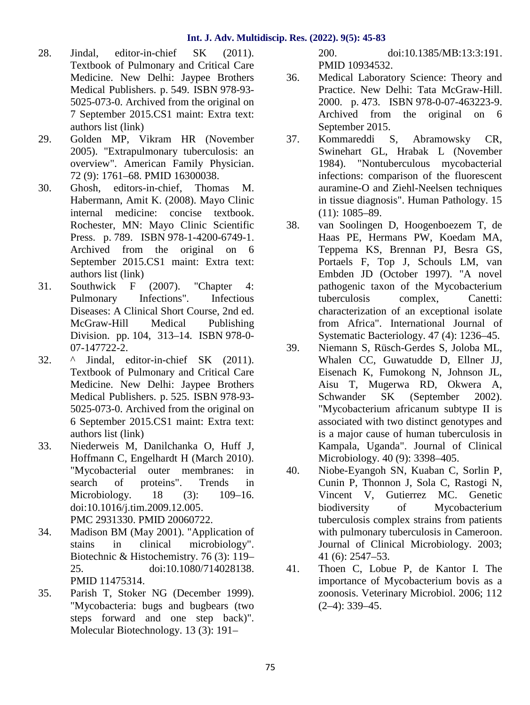- 28. Jindal, editor-in-chief SK (2011). Textbook of Pulmonary and Critical Care Medicine. New Delhi: Jaypee Brothers Medical Publishers. p. 549. ISBN 978-93- 5025-073-0. Archived from the original on 7 September 2015.CS1 maint: Extra text: authors list (link)
- 29. Golden MP, Vikram HR (November 2005). "Extrapulmonary tuberculosis: an overview". American Family Physician. 72 (9): 1761–68. PMID 16300038.
- 30. Ghosh, editors-in-chief, Thomas M. Habermann, Amit K. (2008). Mayo Clinic internal medicine: concise textbook. Rochester, MN: Mayo Clinic Scientific 38. Press. p. 789. ISBN 978-1-4200-6749-1. Archived from the original on 6 September 2015.CS1 maint: Extra text: authors list (link)
- 31. Southwick F (2007). "Chapter 4: Pulmonary Infections". Infectious Diseases: A Clinical Short Course, 2nd ed. McGraw-Hill Medical Publishing Division. pp. 104, 313–14. ISBN 978-0- 07-147722-2.
- 32. ^ Jindal, editor-in-chief SK (2011). Textbook of Pulmonary and Critical Care Medicine. New Delhi: Jaypee Brothers Medical Publishers. p. 525. ISBN 978-93- 5025-073-0. Archived from the original on 6 September 2015.CS1 maint: Extra text: authors list (link)
- 33. Niederweis M, Danilchanka O, Huff J, Hoffmann C, Engelhardt H (March 2010). "Mycobacterial outer membranes: in search of proteins". Trends in Microbiology. 18 (3): 109–16. doi:10.1016/j.tim.2009.12.005. PMC 2931330. PMID 20060722.
- 34. Madison BM (May 2001). "Application of stains in clinical microbiology". Biotechnic & Histochemistry. 76 (3): 119– 25. doi:10.1080/714028138. PMID 11475314.
- 35. Parish T, Stoker NG (December 1999). "Mycobacteria: bugs and bugbears (two steps forward and one step back)". Molecular Biotechnology. 13 (3): 191–

200. doi:10.1385/MB:13:3:191. PMID 10934532.

- 36. Medical Laboratory Science: Theory and Practice. New Delhi: Tata McGraw-Hill. 2000. p. 473. ISBN 978-0-07-463223-9. Archived from the original on 6 September 2015.
- 37. Kommareddi S, Abramowsky CR, Swinehart GL, Hrabak L (November 1984). "Nontuberculous mycobacterial infections: comparison of the fluorescent auramine-O and Ziehl-Neelsen techniques in tissue diagnosis". Human Pathology. 15 (11): 1085–89.
- 38. van Soolingen D, Hoogenboezem T, de Haas PE, Hermans PW, Koedam MA, Teppema KS, Brennan PJ, Besra GS, Portaels F, Top J, Schouls LM, van Embden JD (October 1997). "A novel pathogenic taxon of the Mycobacterium tuberculosis complex, Canetti: characterization of an exceptional isolate from Africa". International Journal of Systematic Bacteriology. 47 (4): 1236–45.
- 39. Niemann S, Rüsch-Gerdes S, Joloba ML, Whalen CC, Guwatudde D, Ellner JJ, Eisenach K, Fumokong N, Johnson JL, Aisu T, Mugerwa RD, Okwera A, Schwander SK (September 2002). "Mycobacterium africanum subtype II is associated with two distinct genotypes and is a major cause of human tuberculosis in Kampala, Uganda". Journal of Clinical Microbiology. 40 (9): 3398–405.
- 40. Niobe-Eyangoh SN, Kuaban C, Sorlin P, Cunin P, Thonnon J, Sola C, Rastogi N, Vincent V, Gutierrez MC. Genetic biodiversity of Mycobacterium tuberculosis complex strains from patients with pulmonary tuberculosis in Cameroon. Journal of Clinical Microbiology. 2003; 41 (6): 2547–53.
- 41. Thoen C, Lobue P, de Kantor I. The importance of Mycobacterium bovis as a zoonosis. Veterinary Microbiol. 2006; 112 (2–4): 339–45.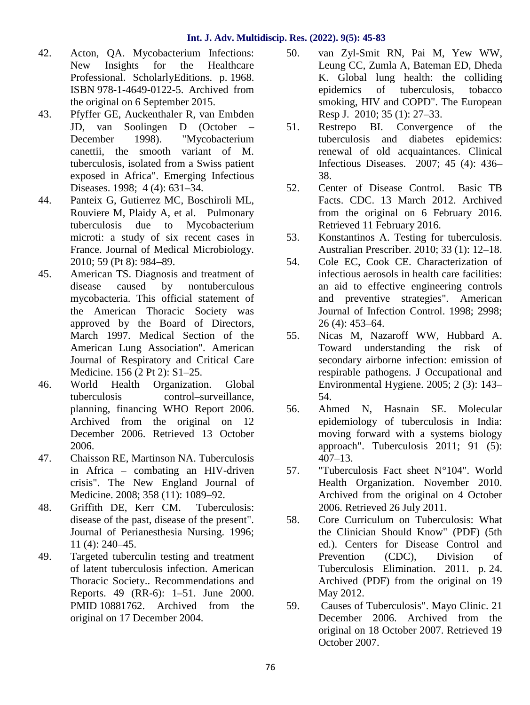- 42. Acton, QA. Mycobacterium Infections: New Insights for the Healthcare Professional. ScholarlyEditions. p. 1968. ISBN 978-1-4649-0122-5. Archived from the original on 6 September 2015.
- 43. Pfyffer GE, Auckenthaler R, van Embden JD, van Soolingen D (October – December 1998). "Mycobacterium canettii, the smooth variant of M. tuberculosis, isolated from a Swiss patient exposed in Africa". Emerging Infectious Diseases. 1998; 4 (4): 631–34.
- 44. Panteix G, Gutierrez MC, Boschiroli ML, Rouviere M, Plaidy A, et al. Pulmonary tuberculosis due to Mycobacterium microti: a study of six recent cases in 53. France. Journal of Medical Microbiology. 2010; 59 (Pt 8): 984–89.
- 45. American TS. Diagnosis and treatment of disease caused by nontuberculous mycobacteria. This official statement of the American Thoracic Society was approved by the Board of Directors, March 1997. Medical Section of the 55. American Lung Association". American Journal of Respiratory and Critical Care Medicine. 156 (2 Pt 2): S1–25.
- 46. World Health Organization. Global tuberculosis control–surveillance, planning, financing WHO Report 2006. Archived from the original on 12 December 2006. Retrieved 13 October 2006.
- 47. Chaisson RE, Martinson NA. Tuberculosis in Africa – combating an HIV-driven crisis". The New England Journal of Medicine. 2008; 358 (11): 1089–92.
- 48. Griffith DE, Kerr CM. Tuberculosis: disease of the past, disease of the present". Journal of Perianesthesia Nursing. 1996; 11 (4): 240–45.
- 49. Targeted tuberculin testing and treatment of latent tuberculosis infection. American Thoracic Society.. Recommendations and Reports. 49 (RR-6): 1–51. June 2000. PMID 10881762. Archived from the 59. original on 17 December 2004.
- 50. van Zyl-Smit RN, Pai M, Yew WW, Leung CC, Zumla A, Bateman ED, Dheda K. Global lung health: the colliding epidemics of tuberculosis, tobacco smoking, HIV and COPD". The European Resp J. 2010; 35 (1): 27–33.
- Restrepo BI. Convergence of the tuberculosis and diabetes epidemics: renewal of old acquaintances. Clinical Infectious Diseases. 2007; 45 (4): 436– 38.
- 52. Center of Disease Control. Basic TB Facts. CDC. 13 March 2012. Archived from the original on 6 February 2016. Retrieved 11 February 2016.
- Konstantinos A. Testing for tuberculosis. Australian Prescriber. 2010; 33 (1): 12–18.
- 54. Cole EC, Cook CE. Characterization of infectious aerosols in health care facilities: an aid to effective engineering controls and preventive strategies". American Journal of Infection Control. 1998; 2998; 26 (4): 453–64.
- Nicas M, Nazaroff WW, Hubbard A. Toward understanding the risk of secondary airborne infection: emission of respirable pathogens. J Occupational and Environmental Hygiene. 2005; 2 (3): 143– 54.
- 56. Ahmed N, Hasnain SE. Molecular epidemiology of tuberculosis in India: moving forward with a systems biology approach". Tuberculosis 2011; 91 (5): 407–13.
- "Tuberculosis Fact sheet  $N^{\circ}104$ ". World Health Organization. November 2010. Archived from the original on 4 October 2006. Retrieved 26 July 2011.
- 58. Core Curriculum on Tuberculosis: What the Clinician Should Know" (PDF) (5th ed.). Centers for Disease Control and Prevention (CDC), Division of Tuberculosis Elimination. 2011. p. 24. Archived (PDF) from the original on 19 May 2012.
- 59. Causes of Tuberculosis". Mayo Clinic. 21 December 2006. Archived from the original on 18 October 2007. Retrieved 19 October 2007.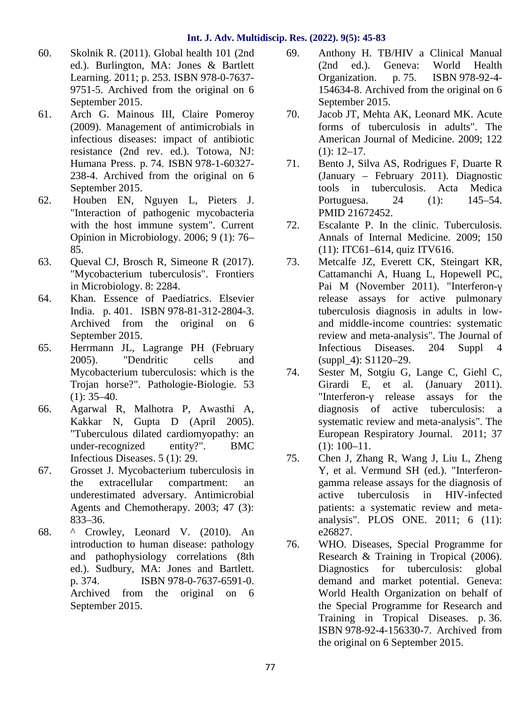- 60. Skolnik R. (2011). Global health 101 (2nd ed.). Burlington, MA: Jones & Bartlett Learning. 2011; p. 253. ISBN 978-0-7637- 9751-5. Archived from the original on 6 September 2015.
- 61. Arch G. Mainous III, Claire Pomeroy (2009). Management of antimicrobials in infectious diseases: impact of antibiotic resistance (2nd rev. ed.). Totowa, NJ: Humana Press. p. 74. ISBN 978-1-60327- 238-4. Archived from the original on 6 September 2015.
- 62. Houben EN, Nguyen L, Pieters J. "Interaction of pathogenic mycobacteria with the host immune system". Current Opinion in Microbiology. 2006; 9 (1): 76– 85.
- 63. Queval CJ, Brosch R, Simeone R (2017). "Mycobacterium tuberculosis". Frontiers in Microbiology. 8: 2284.
- 64. Khan. Essence of Paediatrics. Elsevier India. p. 401. ISBN 978-81-312-2804-3. Archived from the original on 6 September 2015.
- 65. Herrmann JL, Lagrange PH (February 2005). "Dendritic cells and Mycobacterium tuberculosis: which is the Trojan horse?". Pathologie-Biologie. 53  $(1)$ : 35–40.
- 66. Agarwal R, Malhotra P, Awasthi A, Kakkar N, Gupta D (April 2005). "Tuberculous dilated cardiomyopathy: an under-recognized entity?". BMC Infectious Diseases. 5 (1): 29.
- 67. Grosset J. Mycobacterium tuberculosis in the extracellular compartment: an underestimated adversary. Antimicrobial Agents and Chemotherapy. 2003; 47 (3): 833–36.
- 68. ^ Crowley, Leonard V. (2010). An introduction to human disease: pathology and pathophysiology correlations (8th ed.). Sudbury, MA: Jones and Bartlett. p. 374. ISBN 978-0-7637-6591-0. Archived from the original on 6 September 2015.
- 69. Anthony H. TB/HIV a Clinical Manual (2nd ed.). Geneva: World Health Organization. p. 75. ISBN 978-92-4- 154634-8. Archived from the original on 6 September 2015.
- Jacob JT, Mehta AK, Leonard MK. Acute forms of tuberculosis in adults". The American Journal of Medicine. 2009; 122 (1): 12–17.
- 71. Bento J, Silva AS, Rodrigues F, Duarte R (January – February 2011). Diagnostic tools in tuberculosis. Acta Medica Portuguesa. 24 (1): 145–54. PMID 21672452.
- 72. Escalante P. In the clinic. Tuberculosis. Annals of Internal Medicine. 2009; 150 (11): ITC61–614, quiz ITV616.
- 73. Metcalfe JZ, Everett CK, Steingart KR, Cattamanchi A, Huang L, Hopewell PC, Pai M (November 2011). "Interferonrelease assays for active pulmonary tuberculosis diagnosis in adults in low and middle-income countries: systematic review and meta-analysis". The Journal of Infectious Diseases. 204 Suppl 4 (suppl\_4): S1120–29.
- Sester M, Sotgiu G, Lange C, Giehl C, Girardi E, et al. (January 2011). "Interferon- release assays for the diagnosis of active tuberculosis: a systematic review and meta-analysis". The European Respiratory Journal. 2011; 37 (1): 100–11.
- 75. Chen J, Zhang R, Wang J, Liu L, Zheng Y, et al. Vermund SH (ed.). "Interferon gamma release assays for the diagnosis of active tuberculosis in HIV-infected patients: a systematic review and meta analysis". PLOS ONE. 2011; 6 (11): e26827.
- WHO. Diseases, Special Programme for Research & Training in Tropical (2006). Diagnostics for tuberculosis: global demand and market potential. Geneva: World Health Organization on behalf of the Special Programme for Research and Training in Tropical Diseases. p. 36. ISBN 978-92-4-156330-7. Archived from the original on 6 September 2015.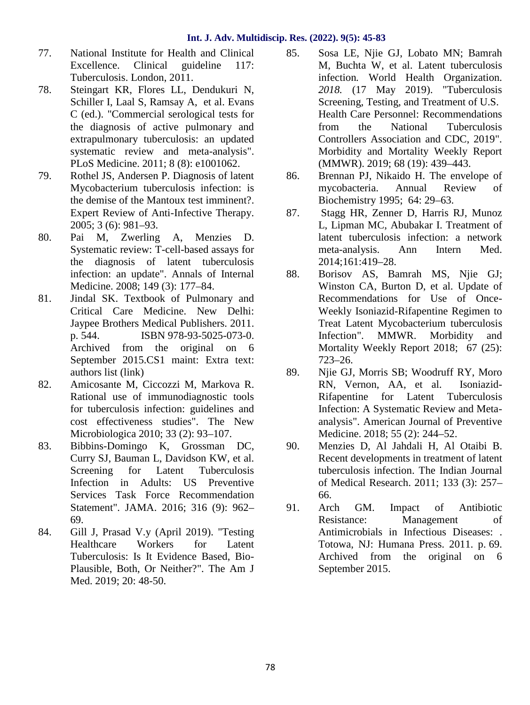- 77. National Institute for Health and Clinical Excellence. Clinical guideline 117: Tuberculosis. London, 2011.
- 78. Steingart KR, Flores LL, Dendukuri N, Schiller I, Laal S, Ramsay A, et al. Evans C (ed.). "Commercial serological tests for the diagnosis of active pulmonary and extrapulmonary tuberculosis: an updated systematic review and meta-analysis". PLoS Medicine. 2011; 8 (8): e1001062.
- 79. Rothel JS, Andersen P. Diagnosis of latent Mycobacterium tuberculosis infection: is the demise of the Mantoux test imminent?. Expert Review of Anti-Infective Therapy. 2005; 3 (6): 981–93.
- 80. Pai M, Zwerling A, Menzies D. Systematic review: T-cell-based assays for the diagnosis of latent tuberculosis infection: an update". Annals of Internal Medicine. 2008; 149 (3): 177–84.
- 81. Jindal SK. Textbook of Pulmonary and Critical Care Medicine. New Delhi: Jaypee Brothers Medical Publishers. 2011. p. 544. ISBN 978-93-5025-073-0. Archived from the original on 6 September 2015.CS1 maint: Extra text: authors list (link)
- 82. Amicosante M, Ciccozzi M, Markova R. Rational use of immunodiagnostic tools for tuberculosis infection: guidelines and cost effectiveness studies". The New Microbiologica 2010; 33 (2): 93–107.
- 83. Bibbins-Domingo K, Grossman DC, Curry SJ, Bauman L, Davidson KW, et al. Screening for Latent Tuberculosis Infection in Adults: US Preventive Services Task Force Recommendation Statement". JAMA. 2016; 316 (9): 962-<br>91. 69.
- 84. Gill J, Prasad V.y (April 2019). "Testing Healthcare Workers for Latent Tuberculosis: Is It Evidence Based, Bio- Plausible, Both, Or Neither?". The Am J Med. 2019; 20: 48-50.
- 85. Sosa LE, Njie GJ, Lobato MN; Bamrah M, Buchta W, et al. Latent tuberculosis infection*.* World Health Organization*. 2018.* (17 May 2019). "Tuberculosis Screening, Testing, and Treatment of U.S. Health Care Personnel: Recommendations from the National Tuberculosis Controllers Association and CDC, 2019". Morbidity and Mortality Weekly Report (MMWR). 2019; 68 (19): 439–443.
- 86. Brennan PJ, Nikaido H. The envelope of mycobacteria. Annual Review of Biochemistry 1995; 64: 29–63.
- 87. Stagg HR, Zenner D, Harris RJ, Munoz L, Lipman MC, Abubakar I. Treatment of latent tuberculosis infection: a network meta-analysis. Ann Intern Med. 2014;161:419–28.
- 88. Borisov AS, Bamrah MS, Njie GJ; Winston CA, Burton D, et al. Update of Recommendations for Use of Once- Weekly Isoniazid-Rifapentine Regimen to Treat Latent Mycobacterium tuberculosis Infection". MMWR. Morbidity and Mortality Weekly Report 2018; 67 (25): 723–26.
- 89. Njie GJ, Morris SB; Woodruff RY, Moro RN, Vernon, AA, et al. Isoniazid- Rifapentine for Latent Tuberculosis Infection: A Systematic Review and Meta analysis". American Journal of Preventive Medicine. 2018; 55 (2): 244–52.
- 90. Menzies D, Al Jahdali H, Al Otaibi B. Recent developments in treatment of latent tuberculosis infection. The Indian Journal of Medical Research. 2011; 133 (3): 257– 66.
- Arch GM. Impact of Antibiotic Resistance: Management of Antimicrobials in Infectious Diseases: . Totowa, NJ: Humana Press. 2011. p. 69. Archived from the original on 6 September 2015.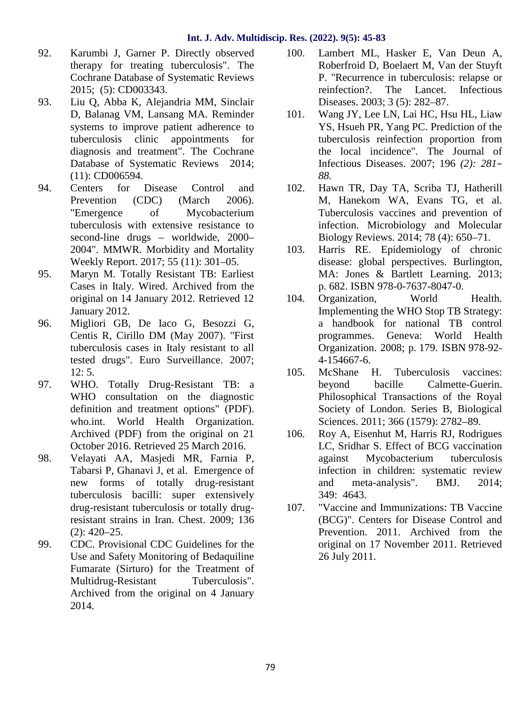- 92. Karumbi J, Garner P. Directly observed therapy for treating tuberculosis". The Cochrane Database of Systematic Reviews 2015; (5): CD003343.
- 93. Liu Q, Abba K, Alejandria MM, Sinclair D, Balanag VM, Lansang MA. Reminder systems to improve patient adherence to tuberculosis clinic appointments for diagnosis and treatment". The Cochrane Database of Systematic Reviews 2014; (11): CD006594.
- 94. Centers for Disease Control and Prevention (CDC) (March 2006). "Emergence of Mycobacterium tuberculosis with extensive resistance to second-line drugs – worldwide, 2000– 2004". MMWR. Morbidity and Mortality Weekly Report. 2017; 55 (11): 301–05.
- 95. Maryn M. Totally Resistant TB: Earliest Cases in Italy. Wired. Archived from the original on 14 January 2012. Retrieved 12 January 2012.
- 96. Migliori GB, De Iaco G, Besozzi G, Centis R, Cirillo DM (May 2007). "First tuberculosis cases in Italy resistant to all tested drugs". Euro Surveillance. 2007; 12: 5.
- 97. WHO. Totally Drug-Resistant TB: a WHO consultation on the diagnostic definition and treatment options" (PDF). who.int. World Health Organization. Archived (PDF) from the original on 21 106. October 2016. Retrieved 25 March 2016.
- 98. Velayati AA, Masjedi MR, Farnia P, Tabarsi P, Ghanavi J, et al. Emergence of new forms of totally drug-resistant tuberculosis bacilli: super extensively drug-resistant tuberculosis or totally drugresistant strains in Iran. Chest. 2009; 136 (2): 420–25.
- 99. CDC. Provisional CDC Guidelines for the Use and Safety Monitoring of Bedaquiline Fumarate (Sirturo) for the Treatment of Multidrug-Resistant Tuberculosis". Archived from the original on 4 January 2014.
- Lambert ML, Hasker E, Van Deun A, Roberfroid D, Boelaert M, Van der Stuyft P. "Recurrence in tuberculosis: relapse or reinfection?. The Lancet. Infectious Diseases. 2003; 3 (5): 282–87.
- 101. Wang JY, Lee LN, Lai HC, Hsu HL, Liaw YS, Hsueh PR, Yang PC. Prediction of the tuberculosis reinfection proportion from the local incidence". The Journal of Infectious Diseases. 2007; 196 *(2): 281– 88.*
- Hawn TR, Day TA, Scriba TJ, Hatherill M, Hanekom WA, Evans TG, et al. Tuberculosis vaccines and prevention of infection. Microbiology and Molecular Biology Reviews. 2014; 78 (4): 650–71.
- Harris RE. Epidemiology of chronic disease: global perspectives. Burlington, MA: Jones & Bartlett Learning. 2013; p. 682. ISBN 978-0-7637-8047-0.
- Organization, World Health. Implementing the WHO Stop TB Strategy: a handbook for national TB control programmes. Geneva: World Health Organization. 2008; p. 179. ISBN 978-92- 4-154667-6.
- 105. McShane H. Tuberculosis vaccines: beyond bacille Calmette-Guerin. Philosophical Transactions of the Royal Society of London. Series B, Biological Sciences. 2011; 366 (1579): 2782–89.
- 106. Roy A, Eisenhut M, Harris RJ, Rodrigues LC, Sridhar S. Effect of BCG vaccination against Mycobacterium tuberculosis infection in children: systematic review and meta-analysis". BMJ. 2014; 349: 4643.
- 107. "Vaccine and Immunizations: TB Vaccine (BCG)". Centers for Disease Control and Prevention. 2011. Archived from the original on 17 November 2011. Retrieved 26 July 2011.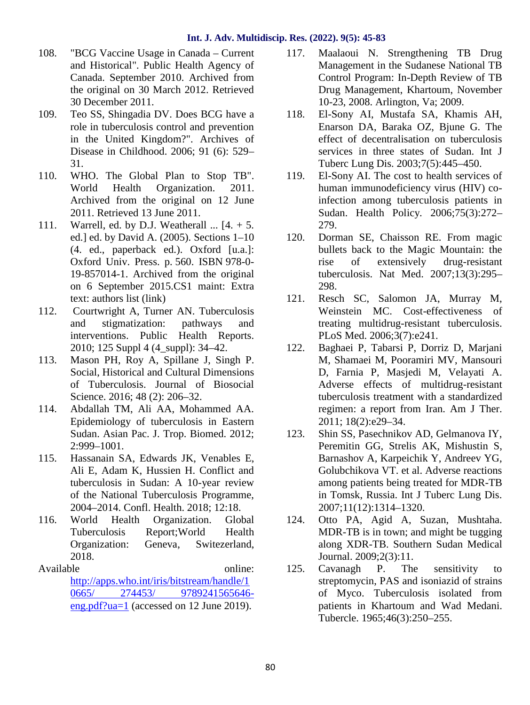- 108. "BCG Vaccine Usage in Canada Current and Historical". Public Health Agency of Canada. September 2010. Archived from the original on 30 March 2012. Retrieved 30 December 2011.
- 109. Teo SS, Shingadia DV. Does BCG have a role in tuberculosis control and prevention in the United Kingdom?". Archives of Disease in Childhood. 2006; 91 (6): 529– 31.
- 110. WHO. The Global Plan to Stop TB". World Health Organization. 2011. Archived from the original on 12 June 2011. Retrieved 13 June 2011.
- 111. Warrell, ed. by D.J. Weatherall  $\ldots$  [4. + 5. ed.] ed. by David A. (2005). Sections 1–10 (4. ed., paperback ed.). Oxford [u.a.]: Oxford Univ. Press. p. 560. ISBN 978-0- 19-857014-1. Archived from the original on 6 September 2015.CS1 maint: Extra text: authors list (link)
- 112. Courtwright A, Turner AN. Tuberculosis and stigmatization: pathways and interventions. Public Health Reports. 2010; 125 Suppl 4 (4\_suppl): 34–42.
- 113. Mason PH, Roy A, Spillane J, Singh P. Social, Historical and Cultural Dimensions of Tuberculosis. Journal of Biosocial Science. 2016; 48 (2): 206-32.
- 114. Abdallah TM, Ali AA, Mohammed AA. Epidemiology of tuberculosis in Eastern Sudan. Asian Pac. J. Trop. Biomed. 2012; 2:999–1001.
- 115. Hassanain SA, Edwards JK, Venables E, Ali E, Adam K, Hussien H. Conflict and tuberculosis in Sudan: A 10-year review of the National Tuberculosis Programme, 2004–2014. Confl. Health. 2018; 12:18.
- 116. World Health Organization. Global Tuberculosis Report;World Health Organization: Geneva, Switezerland, 2018.
- Available online: http://apps.who.int/iris/bitstream/handle/1 0665/ 274453/ 9789241565646 eng.pdf?ua=1 (accessed on 12 June 2019).
- 117. Maalaoui N. Strengthening TB Drug Management in the Sudanese National TB Control Program: In-Depth Review of TB Drug Management, Khartoum, November 10-23, 2008. Arlington, Va; 2009.
- El-Sony AI, Mustafa SA, Khamis AH, Enarson DA, Baraka OZ, Bjune G. The effect of decentralisation on tuberculosis services in three states of Sudan. Int J Tuberc Lung Dis. 2003;7(5):445–450.
- 119. El-Sony AI. The cost to health services of human immunodeficiency virus (HIV) coinfection among tuberculosis patients in Sudan. Health Policy. 2006;75(3):272– 279.
- Dorman SE, Chaisson RE. From magic bullets back to the Magic Mountain: the rise of extensively drug-resistant tuberculosis. Nat Med. 2007;13(3):295– 298.
- 121. Resch SC, Salomon JA, Murray M, Weinstein MC. Cost-effectiveness of treating multidrug-resistant tuberculosis. PLoS Med. 2006;3(7):e241.
- 122. Baghaei P, Tabarsi P, Dorriz D, Marjani M, Shamaei M, Pooramiri MV, Mansouri D, Farnia P, Masjedi M, Velayati A. Adverse effects of multidrug-resistant tuberculosis treatment with a standardized regimen: a report from Iran. Am J Ther. 2011; 18(2):e29–34.
- 123. Shin SS, Pasechnikov AD, Gelmanova IY, Peremitin GG, Strelis AK, Mishustin S, Barnashov A, Karpeichik Y, Andreev YG, Golubchikova VT. et al. Adverse reactions among patients being treated for MDR-TB in Tomsk, Russia. Int J Tuberc Lung Dis. 2007;11(12):1314–1320.
- 124. Otto PA, Agid A, Suzan, Mushtaha. MDR-TB is in town; and might be tugging along XDR-TB. Southern Sudan Medical Journal. 2009;2(3):11.
- 125. Cavanagh P. The sensitivity to streptomycin, PAS and isoniazid of strains of Myco. Tuberculosis isolated from patients in Khartoum and Wad Medani. Tubercle. 1965;46(3):250–255.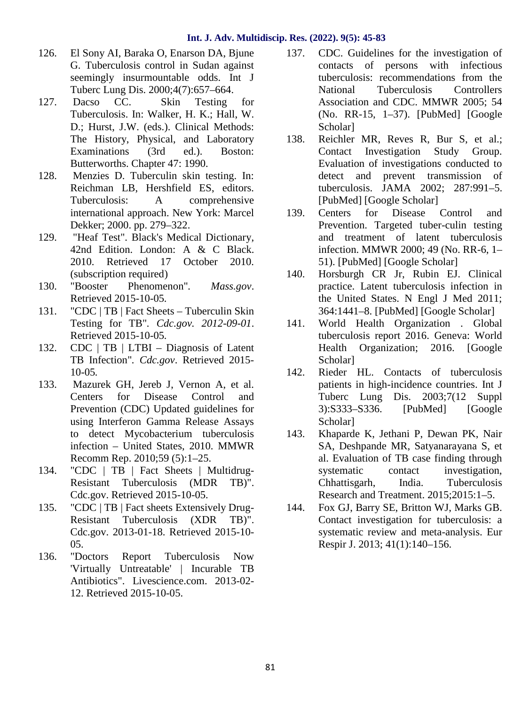- 126. El Sony AI, Baraka O, Enarson DA, Bjune G. Tuberculosis control in Sudan against seemingly insurmountable odds. Int J Tuberc Lung Dis. 2000;4(7):657–664.
- 127. Dacso CC. Skin Testing for Tuberculosis. In: Walker, H. K.; Hall, W. D.; Hurst, J.W. (eds.). Clinical Methods: The History, Physical, and Laboratory 138. Examinations (3rd ed.). Boston: Butterworths. Chapter 47: 1990.
- 128. Menzies D. Tuberculin skin testing. In: Reichman LB, Hershfield ES, editors. Tuberculosis: A comprehensive international approach. New York: Marcel Dekker; 2000. pp. 279–322.
- 129. "Heaf Test". Black's Medical Dictionary, 42nd Edition. London: A & C Black. 2010. Retrieved 17 October 2010. (subscription required)
- 130. "Booster Phenomenon"*. Mass.gov*. Retrieved 2015-10-05*.*
- 131. "CDC | TB | Fact Sheets Tuberculin Skin Testing for TB"*. Cdc.gov. 2012-09-01*. Retrieved 2015-10-05*.*
- 132. CDC | TB | LTBI Diagnosis of Latent TB Infection"*. Cdc.gov*. Retrieved 2015- 10-05*.*
- 133. Mazurek GH, Jereb J, Vernon A, et al. Centers for Disease Control and Prevention (CDC) Updated guidelines for using Interferon Gamma Release Assays to detect Mycobacterium tuberculosis infection – United States, 2010. MMWR Recomm Rep. 2010;59 (5):1–25.
- 134. "CDC | TB | Fact Sheets | Multidrug- Resistant Tuberculosis (MDR TB)". Cdc.gov. Retrieved 2015-10-05.
- 135. "CDC | TB | Fact sheets Extensively Drug- Resistant Tuberculosis (XDR TB)". Cdc.gov. 2013-01-18. Retrieved 2015-10- 05.
- 136. "Doctors Report Tuberculosis Now 'Virtually Untreatable' | Incurable TB Antibiotics". Livescience.com. 2013-02- 12. Retrieved 2015-10-05.
- 137. CDC. Guidelines for the investigation of contacts of persons with infectious tuberculosis: recommendations from the National Tuberculosis Controllers Association and CDC. MMWR 2005; 54 (No. RR-15, 1–37). [PubMed] [Google Scholar]
- Reichler MR, Reves R, Bur S, et al.; Contact Investigation Study Group. Evaluation of investigations conducted to detect and prevent transmission of tuberculosis. JAMA 2002; 287:991–5. [PubMed] [Google Scholar]
- 139. Centers for Disease Control and Prevention. Targeted tuber-culin testing and treatment of latent tuberculosis infection. MMWR 2000; 49 (No. RR-6, 1– 51). [PubMed] [Google Scholar]
- 140. Horsburgh CR Jr, Rubin EJ. Clinical practice. Latent tuberculosis infection in the United States. N Engl J Med 2011; 364:1441–8. [PubMed] [Google Scholar]
- 141. World Health Organization . Global tuberculosis report 2016. Geneva: World Health Organization; 2016. [Google Scholar]
- 142. Rieder HL. Contacts of tuberculosis patients in high-incidence countries. Int J Tuberc Lung Dis. 2003;7(12 Suppl 3):S333–S336. [PubMed] [Google Scholar]
- 143. Khaparde K, Jethani P, Dewan PK, Nair SA, Deshpande MR, Satyanarayana S, et al. Evaluation of TB case finding through systematic contact investigation, Chhattisgarh, India. Tuberculosis Research and Treatment. 2015;2015:1–5.
- 144. Fox GJ, Barry SE, Britton WJ, Marks GB. Contact investigation for tuberculosis: a systematic review and meta-analysis. Eur Respir J. 2013; 41(1):140–156.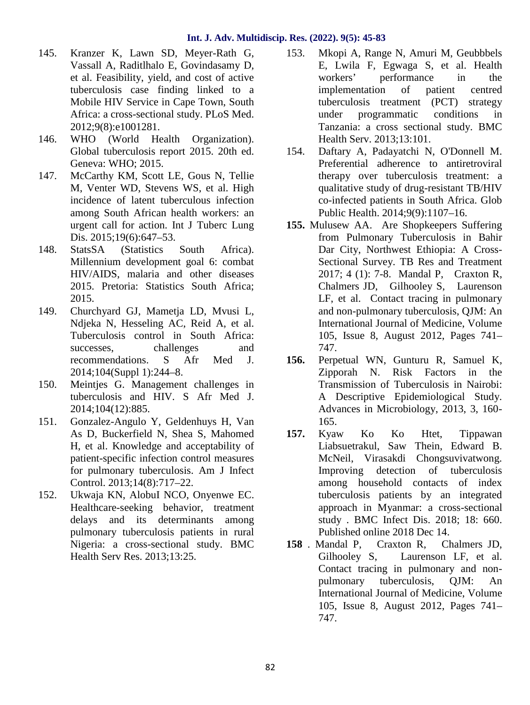- 145. Kranzer K, Lawn SD, Meyer-Rath G, Vassall A, Raditlhalo E, Govindasamy D, et al. Feasibility, yield, and cost of active tuberculosis case finding linked to a Mobile HIV Service in Cape Town, South Africa: a cross-sectional study. PLoS Med. 2012;9(8):e1001281.
- 146. WHO (World Health Organization). Global tuberculosis report 2015. 20th ed. Geneva: WHO; 2015.
- 147. McCarthy KM, Scott LE, Gous N, Tellie M, Venter WD, Stevens WS, et al. High incidence of latent tuberculous infection among South African health workers: an urgent call for action. Int J Tuberc Lung Dis. 2015;19(6):647–53.
- 148. StatsSA (Statistics South Africa). Millennium development goal 6: combat HIV/AIDS, malaria and other diseases 2015. Pretoria: Statistics South Africa; 2015.
- 149. Churchyard GJ, Mametja LD, Mvusi L, Ndjeka N, Hesseling AC, Reid A, et al. Tuberculosis control in South Africa: successes, challenges and recommendations. S Afr Med J. 2014;104(Suppl 1):244–8.
- 150. Meintjes G. Management challenges in tuberculosis and HIV. S Afr Med J. 2014;104(12):885.
- 151. Gonzalez-Angulo Y, Geldenhuys H, Van As D, Buckerfield N, Shea S, Mahomed H, et al. Knowledge and acceptability of patient-specific infection control measures for pulmonary tuberculosis. Am J Infect Control. 2013;14(8):717–22.
- 152. Ukwaja KN, AlobuI NCO, Onyenwe EC. Healthcare-seeking behavior, treatment delays and its determinants among pulmonary tuberculosis patients in rural Nigeria: a cross-sectional study. BMC Health Serv Res. 2013;13:25.
- 153. Mkopi A, Range N, Amuri M, Geubbbels E, Lwila F, Egwaga S, et al. Health workers' performance in the implementation of patient centred tuberculosis treatment (PCT) strategy under programmatic conditions in Tanzania: a cross sectional study. BMC Health Serv. 2013;13:101.
- 154. Daftary A, Padayatchi N, O'Donnell M. Preferential adherence to antiretroviral therapy over tuberculosis treatment: a qualitative study of drug-resistant TB/HIV co-infected patients in South Africa. Glob Public Health. 2014;9(9):1107–16.
- **155.** Mulusew AA. Are Shopkeepers Suffering from Pulmonary Tuberculosis in Bahir Dar City, Northwest Ethiopia: A Cross- Sectional Survey. TB Res and Treatment 2017; 4 (1): 7-8. Mandal P, Craxton R, Chalmers JD, Gilhooley S, Laurenson LF, et al. Contact tracing in pulmonary and non-pulmonary tuberculosis, QJM: An International Journal of Medicine, Volume 105, Issue 8, August 2012, Pages 741– 747.
- **156.** Perpetual WN, Gunturu R, Samuel K, Zipporah N. Risk Factors in the Transmission of Tuberculosis in Nairobi: A Descriptive Epidemiological Study. Advances in Microbiology, 2013, 3, 160- 165.
- **157.** Kyaw Ko Ko Htet, Tippawan Liabsuetrakul, Saw Thein, Edward B. McNeil, Virasakdi Chongsuvivatwong. Improving detection of tuberculosis among household contacts of index tuberculosis patients by an integrated approach in Myanmar: a cross-sectional study . BMC Infect Dis. 2018; 18: 660. Published online 2018 Dec 14.
- **158** . Mandal P, Craxton R, Chalmers JD, Gilhooley S, Laurenson LF, et al. Contact tracing in pulmonary and non pulmonary tuberculosis, QJM: An International Journal of Medicine, Volume 105, Issue 8, August 2012, Pages 741– 747.